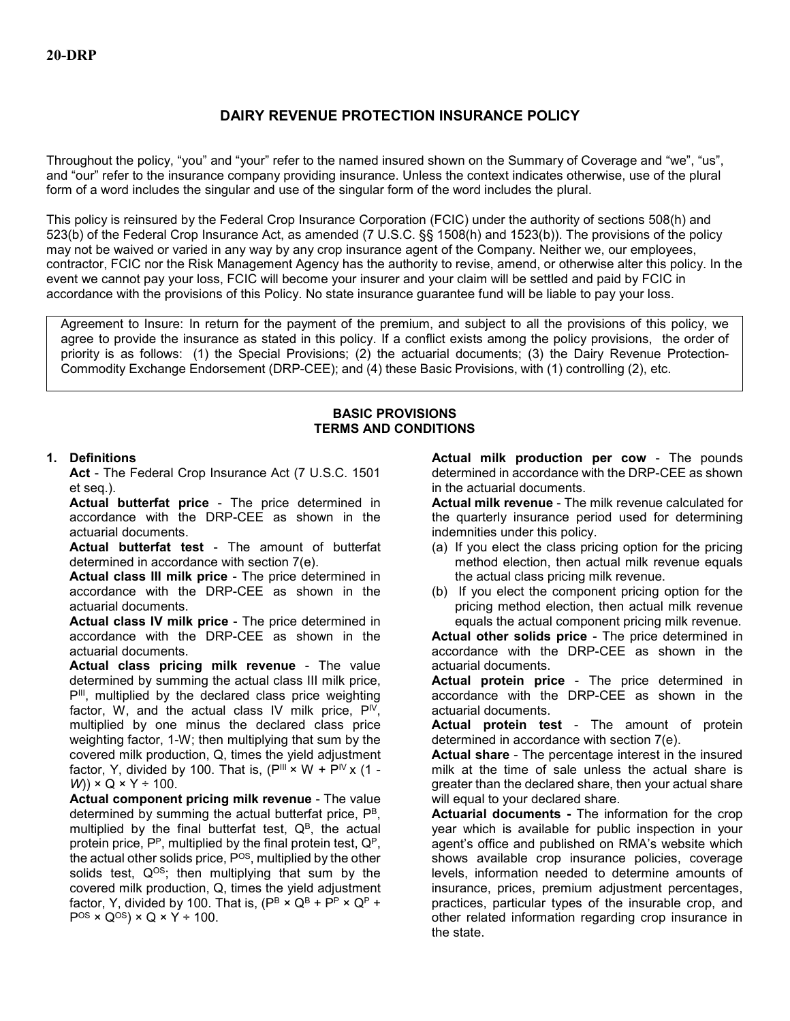# **DAIRY REVENUE PROTECTION INSURANCE POLICY**

Throughout the policy, "you" and "your" refer to the named insured shown on the Summary of Coverage and "we", "us", and "our" refer to the insurance company providing insurance. Unless the context indicates otherwise, use of the plural form of a word includes the singular and use of the singular form of the word includes the plural.

This policy is reinsured by the Federal Crop Insurance Corporation (FCIC) under the authority of sections 508(h) and 523(b) of the Federal Crop Insurance Act, as amended (7 U.S.C. §§ 1508(h) and 1523(b)). The provisions of the policy may not be waived or varied in any way by any crop insurance agent of the Company. Neither we, our employees, contractor, FCIC nor the Risk Management Agency has the authority to revise, amend, or otherwise alter this policy. In the event we cannot pay your loss, FCIC will become your insurer and your claim will be settled and paid by FCIC in accordance with the provisions of this Policy. No state insurance guarantee fund will be liable to pay your loss.

Agreement to Insure: In return for the payment of the premium, and subject to all the provisions of this policy, we agree to provide the insurance as stated in this policy. If a conflict exists among the policy provisions, the order of priority is as follows: (1) the Special Provisions; (2) the actuarial documents; (3) the Dairy Revenue Protection-Commodity Exchange Endorsement (DRP-CEE); and (4) these Basic Provisions, with (1) controlling (2), etc.

#### **BASIC PROVISIONS TERMS AND CONDITIONS**

## **1. Definitions**

**Act** - The Federal Crop Insurance Act (7 U.S.C. 1501 et seq.).

**Actual butterfat price** - The price determined in accordance with the DRP-CEE as shown in the actuarial documents.

**Actual butterfat test** - The amount of butterfat determined in accordance with section 7(e).

**Actual class III milk price** - The price determined in accordance with the DRP-CEE as shown in the actuarial documents.

**Actual class IV milk price** - The price determined in accordance with the DRP-CEE as shown in the actuarial documents.

**Actual class pricing milk revenue** - The value determined by summing the actual class III milk price, P<sup>III</sup>, multiplied by the declared class price weighting factor, W, and the actual class IV milk price,  $P^{\text{IV}}$ , multiplied by one minus the declared class price weighting factor, 1-W; then multiplying that sum by the covered milk production, Q, times the yield adjustment factor, Y, divided by 100. That is,  $(P^{III} \times W + P^{IV} \times (1 -$ *W*)) × Q × Y ÷ 100.

**Actual component pricing milk revenue** - The value determined by summing the actual butterfat price, PB, multiplied by the final butterfat test,  $Q^B$ , the actual protein price,  $P^P$ , multiplied by the final protein test,  $Q^P$ , the actual other solids price, P<sup>OS</sup>, multiplied by the other solids test,  $Q^{OS}$ ; then multiplying that sum by the covered milk production, Q, times the yield adjustment factor, Y, divided by 100. That is,  $(P^B \times Q^B + P^P \times Q^P +$  $P$ <sup>OS</sup> × Q<sup>OS</sup>) × Q × Y ÷ 100.

**Actual milk production per cow** - The pounds determined in accordance with the DRP-CEE as shown in the actuarial documents.

**Actual milk revenue** - The milk revenue calculated for the quarterly insurance period used for determining indemnities under this policy.

- (a) If you elect the class pricing option for the pricing method election, then actual milk revenue equals the actual class pricing milk revenue.
- (b) If you elect the component pricing option for the pricing method election, then actual milk revenue equals the actual component pricing milk revenue.

**Actual other solids price** - The price determined in accordance with the DRP-CEE as shown in the actuarial documents.

**Actual protein price** - The price determined in accordance with the DRP-CEE as shown in the actuarial documents.

**Actual protein test** - The amount of protein determined in accordance with section 7(e).

**Actual share** - The percentage interest in the insured milk at the time of sale unless the actual share is greater than the declared share, then your actual share will equal to your declared share.

**Actuarial documents -** The information for the crop year which is available for public inspection in your agent's office and published on RMA's website which shows available crop insurance policies, coverage levels, information needed to determine amounts of insurance, prices, premium adjustment percentages, practices, particular types of the insurable crop, and other related information regarding crop insurance in the state.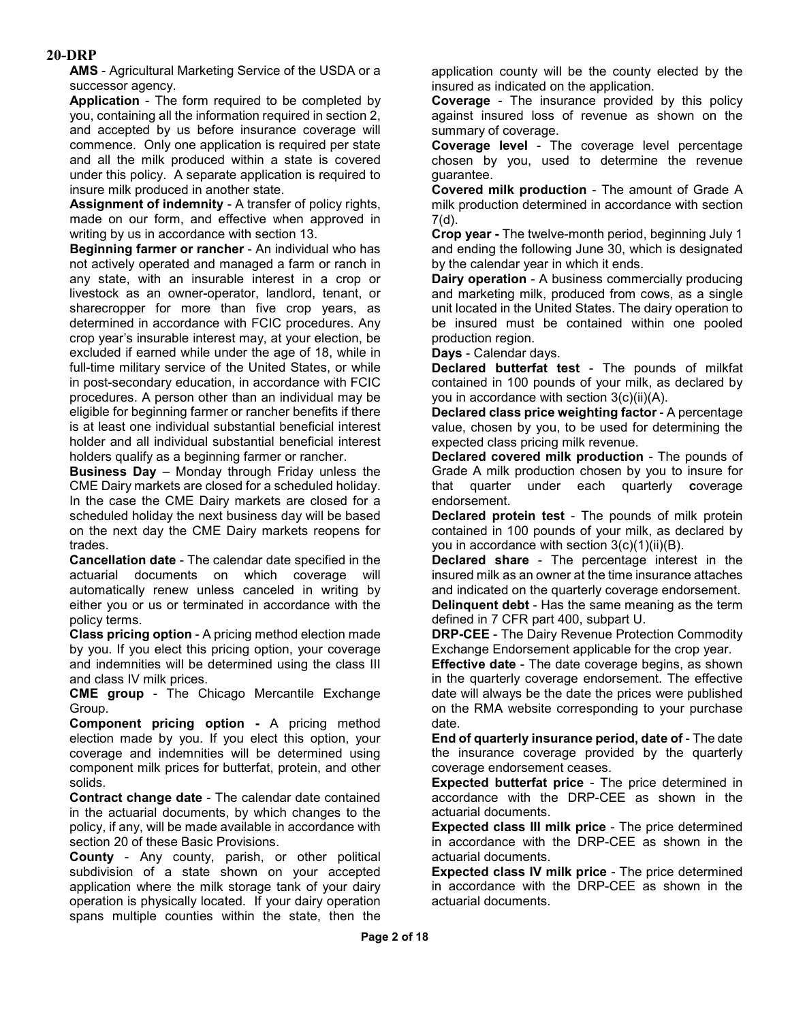**AMS** - Agricultural Marketing Service of the USDA or a successor agency.

**Application** - The form required to be completed by you, containing all the information required in section 2, and accepted by us before insurance coverage will commence. Only one application is required per state and all the milk produced within a state is covered under this policy. A separate application is required to insure milk produced in another state.

**Assignment of indemnity** - A transfer of policy rights, made on our form, and effective when approved in writing by us in accordance with section 13.

**Beginning farmer or rancher** - An individual who has not actively operated and managed a farm or ranch in any state, with an insurable interest in a crop or livestock as an owner-operator, landlord, tenant, or sharecropper for more than five crop years, as determined in accordance with FCIC procedures. Any crop year's insurable interest may, at your election, be excluded if earned while under the age of 18, while in full-time military service of the United States, or while in post-secondary education, in accordance with FCIC procedures. A person other than an individual may be eligible for beginning farmer or rancher benefits if there is at least one individual substantial beneficial interest holder and all individual substantial beneficial interest holders qualify as a beginning farmer or rancher.

**Business Day** – Monday through Friday unless the CME Dairy markets are closed for a scheduled holiday. In the case the CME Dairy markets are closed for a scheduled holiday the next business day will be based on the next day the CME Dairy markets reopens for trades.

**Cancellation date** - The calendar date specified in the actuarial documents on which coverage will automatically renew unless canceled in writing by either you or us or terminated in accordance with the policy terms.

**Class pricing option** - A pricing method election made by you. If you elect this pricing option, your coverage and indemnities will be determined using the class III and class IV milk prices.

**CME group** - The Chicago Mercantile Exchange Group.

**Component pricing option -** A pricing method election made by you. If you elect this option, your coverage and indemnities will be determined using component milk prices for butterfat, protein, and other solids.

**Contract change date** - The calendar date contained in the actuarial documents, by which changes to the policy, if any, will be made available in accordance with section 20 of these Basic Provisions.

**County** - Any county, parish, or other political subdivision of a state shown on your accepted application where the milk storage tank of your dairy operation is physically located. If your dairy operation spans multiple counties within the state, then the application county will be the county elected by the insured as indicated on the application.

**Coverage** - The insurance provided by this policy against insured loss of revenue as shown on the summary of coverage.

**Coverage level** - The coverage level percentage chosen by you, used to determine the revenue guarantee.

**Covered milk production** - The amount of Grade A milk production determined in accordance with section 7(d).

**Crop year -** The twelve-month period, beginning July 1 and ending the following June 30, which is designated by the calendar year in which it ends.

**Dairy operation** - A business commercially producing and marketing milk, produced from cows, as a single unit located in the United States. The dairy operation to be insured must be contained within one pooled production region.

**Days** - Calendar days.

**Declared butterfat test** - The pounds of milkfat contained in 100 pounds of your milk, as declared by you in accordance with section 3(c)(ii)(A).

**Declared class price weighting factor** - A percentage value, chosen by you, to be used for determining the expected class pricing milk revenue.

**Declared covered milk production** - The pounds of Grade A milk production chosen by you to insure for that quarter under each quarterly **c**overage endorsement.

**Declared protein test** - The pounds of milk protein contained in 100 pounds of your milk, as declared by you in accordance with section 3(c)(1)(ii)(B).

**Declared share** - The percentage interest in the insured milk as an owner at the time insurance attaches and indicated on the quarterly coverage endorsement. **Delinquent debt** - Has the same meaning as the term defined in 7 CFR part 400, subpart U.

**DRP-CEE** - The Dairy Revenue Protection Commodity Exchange Endorsement applicable for the crop year.

**Effective date** - The date coverage begins, as shown in the quarterly coverage endorsement. The effective date will always be the date the prices were published on the RMA website corresponding to your purchase date.

**End of quarterly insurance period, date of** - The date the insurance coverage provided by the quarterly coverage endorsement ceases.

**Expected butterfat price** - The price determined in accordance with the DRP-CEE as shown in the actuarial documents.

**Expected class III milk price** - The price determined in accordance with the DRP-CEE as shown in the actuarial documents.

**Expected class IV milk price** - The price determined in accordance with the DRP-CEE as shown in the actuarial documents.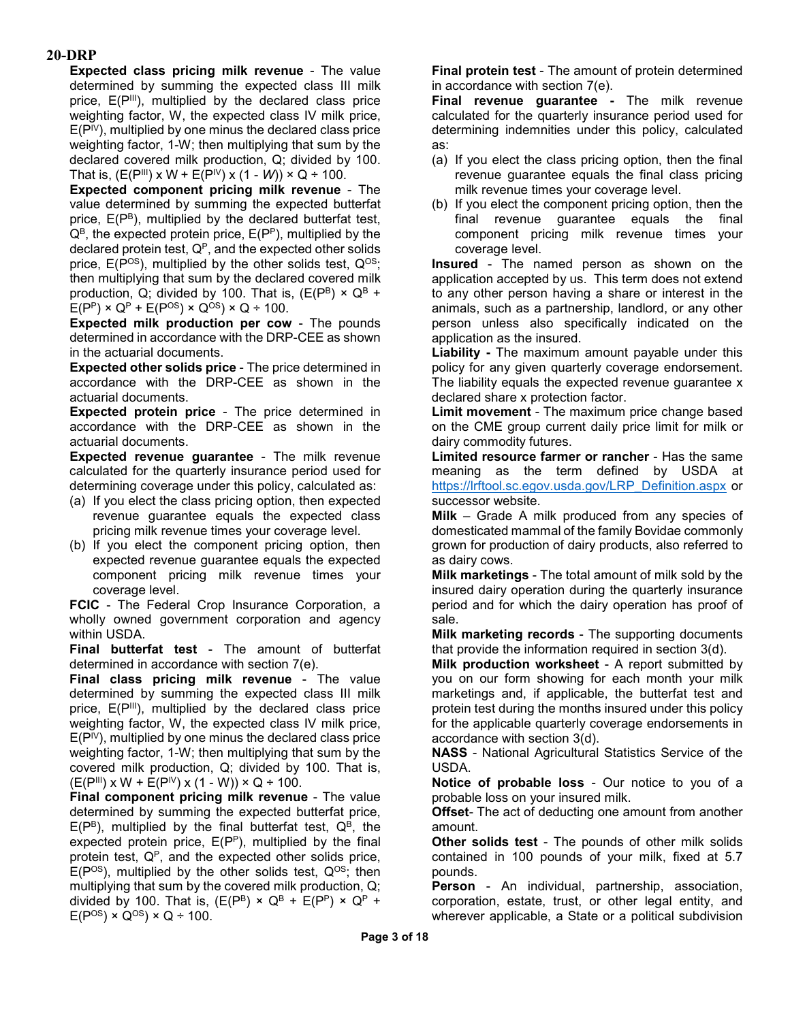**Expected class pricing milk revenue** - The value determined by summing the expected class III milk price,  $E(P^{\text{III}})$ , multiplied by the declared class price weighting factor, W, the expected class IV milk price,  $E(P^{\{V\}})$ , multiplied by one minus the declared class price weighting factor, 1-W; then multiplying that sum by the declared covered milk production, Q; divided by 100. That is,  $(E(P^{III}) \times W + E(P^{IV}) \times (1 - W)) \times Q \div 100$ .

**Expected component pricing milk revenue** - The value determined by summing the expected butterfat price,  $E(P^B)$ , multiplied by the declared butterfat test,  $Q^B$ , the expected protein price,  $E(P^P)$ , multiplied by the declared protein test,  $Q^P$ , and the expected other solids price,  $E(P^{OS})$ , multiplied by the other solids test,  $Q^{OS}$ ; then multiplying that sum by the declared covered milk production, Q; divided by 100. That is,  $(E(P^B) \times Q^B +$  $E(P^P) \times Q^P + E(P^{OS}) \times Q^{OS} \times Q + 100$ .

**Expected milk production per cow** - The pounds determined in accordance with the DRP-CEE as shown in the actuarial documents.

**Expected other solids price** - The price determined in accordance with the DRP-CEE as shown in the actuarial documents.

**Expected protein price** - The price determined in accordance with the DRP-CEE as shown in the actuarial documents.

**Expected revenue guarantee** - The milk revenue calculated for the quarterly insurance period used for determining coverage under this policy, calculated as:

- (a) If you elect the class pricing option, then expected revenue guarantee equals the expected class pricing milk revenue times your coverage level.
- (b) If you elect the component pricing option, then expected revenue guarantee equals the expected component pricing milk revenue times your coverage level.

**FCIC** - The Federal Crop Insurance Corporation, a wholly owned government corporation and agency within USDA.

**Final butterfat test** - The amount of butterfat determined in accordance with section 7(e).

**Final class pricing milk revenue** - The value determined by summing the expected class III milk price, E(P<sup>III</sup>), multiplied by the declared class price weighting factor, W, the expected class IV milk price,  $E(P^{\text{IV}})$ , multiplied by one minus the declared class price weighting factor, 1-W; then multiplying that sum by the covered milk production, Q; divided by 100. That is,  $(E(P^{III}) \times W + E(P^{IV}) \times (1 - W)) \times Q \div 100$ .

**Final component pricing milk revenue** - The value determined by summing the expected butterfat price,  $E(P^B)$ , multiplied by the final butterfat test,  $Q^B$ , the expected protein price,  $E(P<sup>P</sup>)$ , multiplied by the final protein test,  $Q<sup>P</sup>$ , and the expected other solids price,  $E(P^{OS})$ , multiplied by the other solids test,  $Q^{OS}$ ; then multiplying that sum by the covered milk production, Q; divided by 100. That is,  $(E(P^B) \times Q^B + E(P^P) \times Q^P +$  $E(P^{OS}) \times Q^{OS} \times Q \div 100$ .

**Final protein test** - The amount of protein determined in accordance with section 7(e).

**Final revenue guarantee -** The milk revenue calculated for the quarterly insurance period used for determining indemnities under this policy, calculated as:

- (a) If you elect the class pricing option, then the final revenue guarantee equals the final class pricing milk revenue times your coverage level.
- (b) If you elect the component pricing option, then the final revenue guarantee equals the final component pricing milk revenue times your coverage level.

**Insured** - The named person as shown on the application accepted by us. This term does not extend to any other person having a share or interest in the animals, such as a partnership, landlord, or any other person unless also specifically indicated on the application as the insured.

**Liability -** The maximum amount payable under this policy for any given quarterly coverage endorsement. The liability equals the expected revenue guarantee x declared share x protection factor.

**Limit movement** - The maximum price change based on the CME group current daily price limit for milk or dairy commodity futures.

**Limited resource farmer or rancher** - Has the same meaning as the term defined by USDA at [https://lrftool.sc.egov.usda.gov/LRP\\_Definition.aspx](https://lrftool.sc.egov.usda.gov/LRP_Definition.aspx) or successor website.

**Milk** – Grade A milk produced from any species of domesticated mammal of the family Bovidae commonly grown for production of dairy products, also referred to as dairy cows.

**Milk marketings** - The total amount of milk sold by the insured dairy operation during the quarterly insurance period and for which the dairy operation has proof of sale.

**Milk marketing records** - The supporting documents that provide the information required in section 3(d).

**Milk production worksheet** - A report submitted by you on our form showing for each month your milk marketings and, if applicable, the butterfat test and protein test during the months insured under this policy for the applicable quarterly coverage endorsements in accordance with section 3(d).

**NASS** - National Agricultural Statistics Service of the USDA.

**Notice of probable loss** - Our notice to you of a probable loss on your insured milk.

**Offset**- The act of deducting one amount from another amount.

**Other solids test** - The pounds of other milk solids contained in 100 pounds of your milk, fixed at 5.7 pounds.

**Person** - An individual, partnership, association, corporation, estate, trust, or other legal entity, and wherever applicable, a State or a political subdivision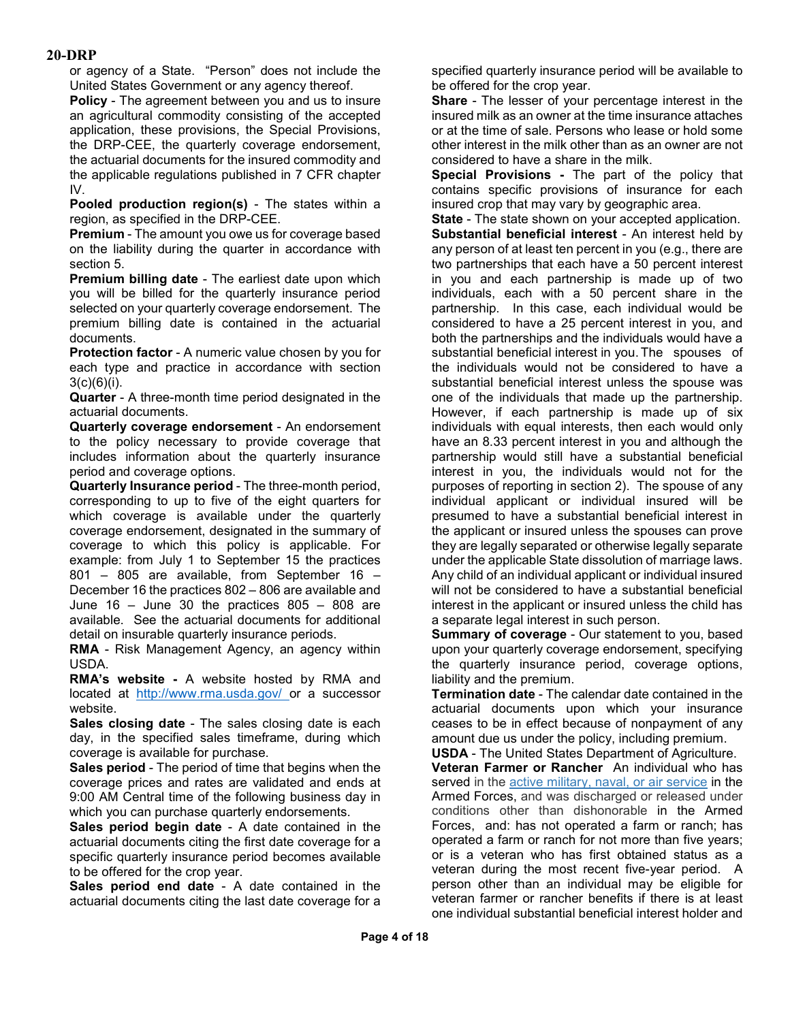or agency of a State. "Person" does not include the United States Government or any agency thereof.

**Policy** - The agreement between you and us to insure an agricultural commodity consisting of the accepted application, these provisions, the Special Provisions, the DRP-CEE, the quarterly coverage endorsement, the actuarial documents for the insured commodity and the applicable regulations published in 7 CFR chapter IV.

**Pooled production region(s)** - The states within a region, as specified in the DRP-CEE.

**Premium** - The amount you owe us for coverage based on the liability during the quarter in accordance with section 5.

**Premium billing date** - The earliest date upon which you will be billed for the quarterly insurance period selected on your quarterly coverage endorsement. The premium billing date is contained in the actuarial documents.

**Protection factor** - A numeric value chosen by you for each type and practice in accordance with section  $3(c)(6)(i)$ .

**Quarter** - A three-month time period designated in the actuarial documents.

**Quarterly coverage endorsement** - An endorsement to the policy necessary to provide coverage that includes information about the quarterly insurance period and coverage options.

**Quarterly Insurance period** - The three-month period, corresponding to up to five of the eight quarters for which coverage is available under the quarterly coverage endorsement, designated in the summary of coverage to which this policy is applicable. For example: from July 1 to September 15 the practices 801 – 805 are available, from September 16 – December 16 the practices 802 – 806 are available and June 16 – June 30 the practices 805 – 808 are available. See the actuarial documents for additional detail on insurable quarterly insurance periods.

**RMA** - Risk Management Agency, an agency within USDA.

**RMA's website -** A website hosted by RMA and located at [http://www.rma.usda.gov/ o](http://www.rma.usda.gov/)r a successor website.

**Sales closing date** - The sales closing date is each day, in the specified sales timeframe, during which coverage is available for purchase.

**Sales period** - The period of time that begins when the coverage prices and rates are validated and ends at 9:00 AM Central time of the following business day in which you can purchase quarterly endorsements.

**Sales period begin date** - A date contained in the actuarial documents citing the first date coverage for a specific quarterly insurance period becomes available to be offered for the crop year.

**Sales period end date** - A date contained in the actuarial documents citing the last date coverage for a specified quarterly insurance period will be available to be offered for the crop year.

**Share** - The lesser of your percentage interest in the insured milk as an owner at the time insurance attaches or at the time of sale. Persons who lease or hold some other interest in the milk other than as an owner are not considered to have a share in the milk.

**Special Provisions -** The part of the policy that contains specific provisions of insurance for each insured crop that may vary by geographic area.

**State** - The state shown on your accepted application. **Substantial beneficial interest** - An interest held by any person of at least ten percent in you (e.g., there are two partnerships that each have a 50 percent interest in you and each partnership is made up of two individuals, each with a 50 percent share in the partnership. In this case, each individual would be considered to have a 25 percent interest in you, and both the partnerships and the individuals would have a substantial beneficial interest in you.The spouses of the individuals would not be considered to have a substantial beneficial interest unless the spouse was one of the individuals that made up the partnership. However, if each partnership is made up of six individuals with equal interests, then each would only have an 8.33 percent interest in you and although the partnership would still have a substantial beneficial interest in you, the individuals would not for the purposes of reporting in section 2). The spouse of any individual applicant or individual insured will be presumed to have a substantial beneficial interest in the applicant or insured unless the spouses can prove they are legally separated or otherwise legally separate under the applicable State dissolution of marriage laws. Any child of an individual applicant or individual insured will not be considered to have a substantial beneficial interest in the applicant or insured unless the child has a separate legal interest in such person.

**Summary of coverage** - Our statement to you, based upon your quarterly coverage endorsement, specifying the quarterly insurance period, coverage options, liability and the premium.

**Termination date** - The calendar date contained in the actuarial documents upon which your insurance ceases to be in effect because of nonpayment of any amount due us under the policy, including premium.

**USDA** - The United States Department of Agriculture. **Veteran Farmer or Rancher** An individual who has served in the [active military, naval, or air service](https://www.law.cornell.edu/definitions/uscode.php?width=840&height=800&iframe=true&def_id=38-USC-1994457193-746307971&term_occur=1&term_src=title:38:part:I:chapter:1:section:101) in the Armed Forces, and was discharged or released under conditions other than dishonorable in the Armed Forces, and: has not operated a farm or ranch; has operated a farm or ranch for not more than five years; or is a veteran who has first obtained status as a veteran during the most recent five-year period. A person other than an individual may be eligible for veteran farmer or rancher benefits if there is at least one individual substantial beneficial interest holder and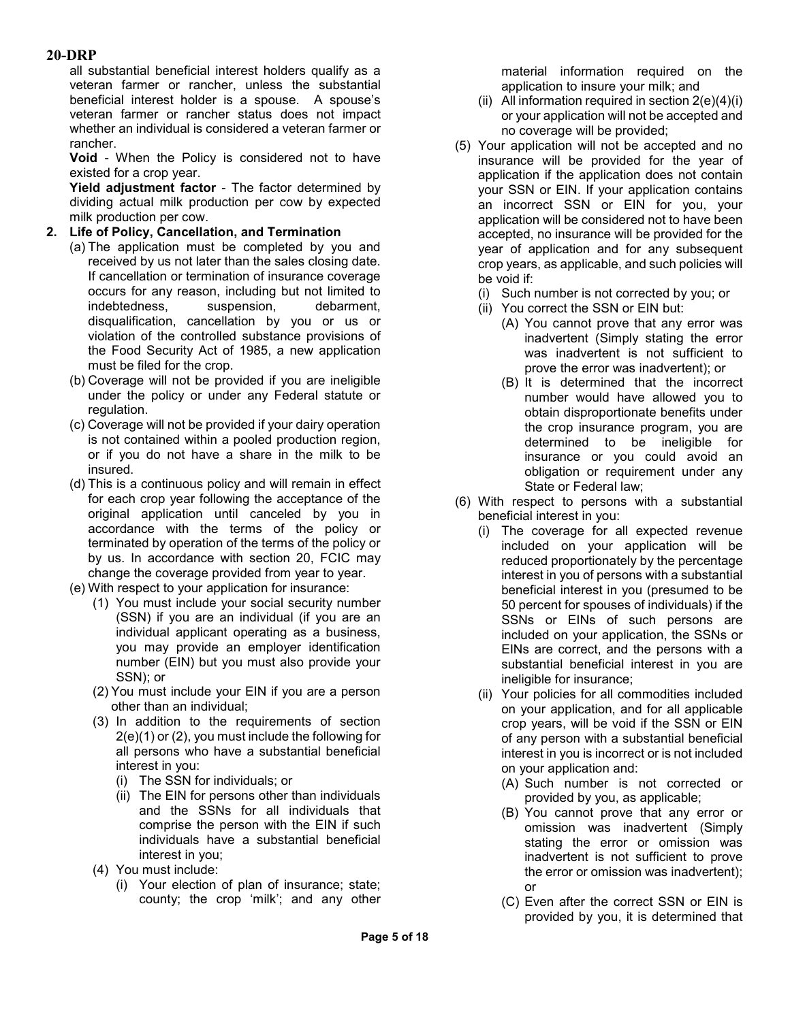all substantial beneficial interest holders qualify as a veteran farmer or rancher, unless the substantial beneficial interest holder is a spouse. A spouse's veteran farmer or rancher status does not impact whether an individual is considered a veteran farmer or rancher.

**Void** - When the Policy is considered not to have existed for a crop year.

**Yield adjustment factor** - The factor determined by dividing actual milk production per cow by expected milk production per cow.

- **2. Life of Policy, Cancellation, and Termination**
	- (a) The application must be completed by you and received by us not later than the sales closing date. If cancellation or termination of insurance coverage occurs for any reason, including but not limited to indebtedness, suspension, debarment, disqualification, cancellation by you or us or violation of the controlled substance provisions of the Food Security Act of 1985, a new application must be filed for the crop.
		- (b) Coverage will not be provided if you are ineligible under the policy or under any Federal statute or regulation.
		- (c) Coverage will not be provided if your dairy operation is not contained within a pooled production region, or if you do not have a share in the milk to be insured.
		- (d) This is a continuous policy and will remain in effect for each crop year following the acceptance of the original application until canceled by you in accordance with the terms of the policy or terminated by operation of the terms of the policy or by us. In accordance with section 20, FCIC may change the coverage provided from year to year.
		- (e) With respect to your application for insurance:
			- (1) You must include your social security number (SSN) if you are an individual (if you are an individual applicant operating as a business, you may provide an employer identification number (EIN) but you must also provide your SSN); or
			- (2) You must include your EIN if you are a person other than an individual;
			- (3) In addition to the requirements of section 2(e)(1) or (2), you must include the following for all persons who have a substantial beneficial interest in you:
				- (i) The SSN for individuals; or
				- (ii) The EIN for persons other than individuals and the SSNs for all individuals that comprise the person with the EIN if such individuals have a substantial beneficial interest in you;
			- (4) You must include:
				- (i) Your election of plan of insurance; state; county; the crop 'milk'; and any other

material information required on the application to insure your milk; and

- (ii) All information required in section  $2(e)(4)(i)$ or your application will not be accepted and no coverage will be provided;
- (5) Your application will not be accepted and no insurance will be provided for the year of application if the application does not contain your SSN or EIN. If your application contains an incorrect SSN or EIN for you, your application will be considered not to have been accepted, no insurance will be provided for the year of application and for any subsequent crop years, as applicable, and such policies will be void if:
	- (i) Such number is not corrected by you; or
	- (ii) You correct the SSN or EIN but:
		- (A) You cannot prove that any error was inadvertent (Simply stating the error was inadvertent is not sufficient to prove the error was inadvertent); or
		- (B) It is determined that the incorrect number would have allowed you to obtain disproportionate benefits under the crop insurance program, you are determined to be ineligible for insurance or you could avoid an obligation or requirement under any State or Federal law;
- (6) With respect to persons with a substantial beneficial interest in you:
	- (i) The coverage for all expected revenue included on your application will be reduced proportionately by the percentage interest in you of persons with a substantial beneficial interest in you (presumed to be 50 percent for spouses of individuals) if the SSNs or EINs of such persons are included on your application, the SSNs or EINs are correct, and the persons with a substantial beneficial interest in you are ineligible for insurance;
	- (ii) Your policies for all commodities included on your application, and for all applicable crop years, will be void if the SSN or EIN of any person with a substantial beneficial interest in you is incorrect or is not included on your application and:
		- (A) Such number is not corrected or provided by you, as applicable;
		- (B) You cannot prove that any error or omission was inadvertent (Simply stating the error or omission was inadvertent is not sufficient to prove the error or omission was inadvertent); or
		- (C) Even after the correct SSN or EIN is provided by you, it is determined that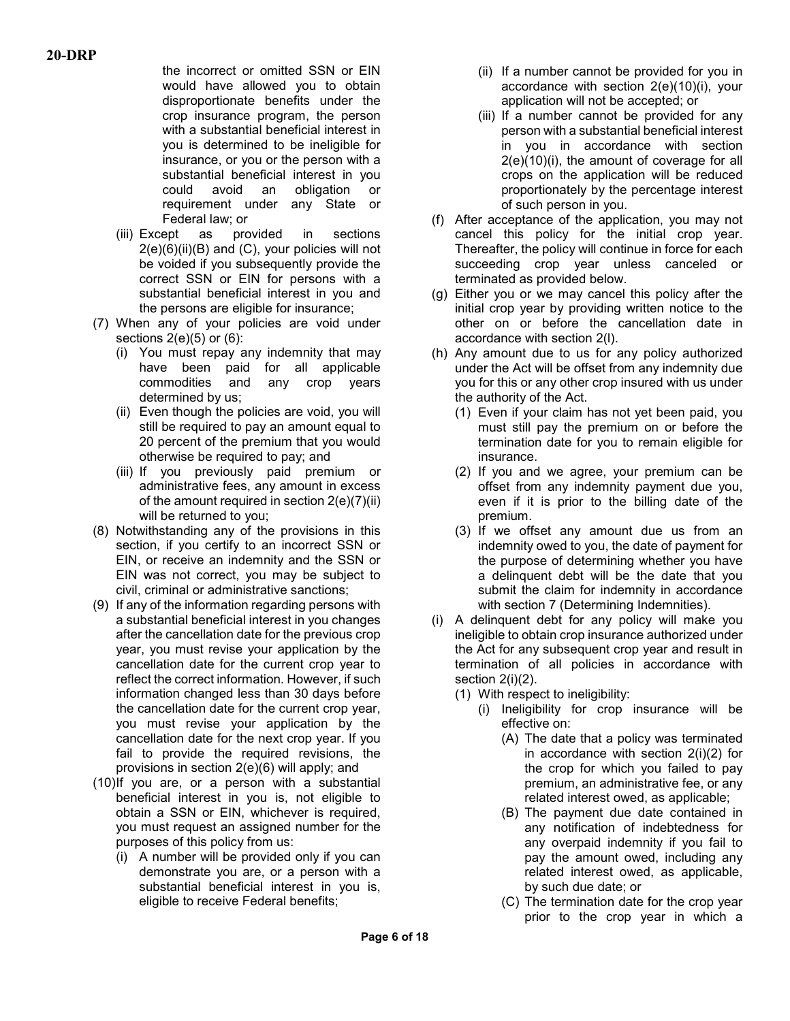the incorrect or omitted SSN or EIN would have allowed you to obtain disproportionate benefits under the crop insurance program, the person with a substantial beneficial interest in you is determined to be ineligible for insurance, or you or the person with a substantial beneficial interest in you could avoid an obligation or requirement under any State or Federal law; or

- (iii) Except as provided in sections  $2(e)(6)(ii)(B)$  and  $(C)$ , your policies will not be voided if you subsequently provide the correct SSN or EIN for persons with a substantial beneficial interest in you and the persons are eligible for insurance;
- (7) When any of your policies are void under sections  $2(e)(5)$  or  $(6)$ :
	- (i) You must repay any indemnity that may have been paid for all applicable commodities and any crop years determined by us;
	- (ii) Even though the policies are void, you will still be required to pay an amount equal to 20 percent of the premium that you would otherwise be required to pay; and
	- (iii) If you previously paid premium or administrative fees, any amount in excess of the amount required in section 2(e)(7)(ii) will be returned to you;
- (8) Notwithstanding any of the provisions in this section, if you certify to an incorrect SSN or EIN, or receive an indemnity and the SSN or EIN was not correct, you may be subject to civil, criminal or administrative sanctions;
- (9) If any of the information regarding persons with a substantial beneficial interest in you changes after the cancellation date for the previous crop year, you must revise your application by the cancellation date for the current crop year to reflect the correct information. However, if such information changed less than 30 days before the cancellation date for the current crop year, you must revise your application by the cancellation date for the next crop year. If you fail to provide the required revisions, the provisions in section 2(e)(6) will apply; and
- (10)If you are, or a person with a substantial beneficial interest in you is, not eligible to obtain a SSN or EIN, whichever is required, you must request an assigned number for the purposes of this policy from us:
	- (i) A number will be provided only if you can demonstrate you are, or a person with a substantial beneficial interest in you is, eligible to receive Federal benefits;
- (ii) If a number cannot be provided for you in accordance with section 2(e)(10)(i), your application will not be accepted; or
- (iii) If a number cannot be provided for any person with a substantial beneficial interest in you in accordance with section 2(e)(10)(i), the amount of coverage for all crops on the application will be reduced proportionately by the percentage interest of such person in you.
- (f) After acceptance of the application, you may not cancel this policy for the initial crop year. Thereafter, the policy will continue in force for each succeeding crop year unless canceled or terminated as provided below.
- (g) Either you or we may cancel this policy after the initial crop year by providing written notice to the other on or before the cancellation date in accordance with section 2(l).
- (h) Any amount due to us for any policy authorized under the Act will be offset from any indemnity due you for this or any other crop insured with us under the authority of the Act.
	- (1) Even if your claim has not yet been paid, you must still pay the premium on or before the termination date for you to remain eligible for insurance.
	- (2) If you and we agree, your premium can be offset from any indemnity payment due you, even if it is prior to the billing date of the premium.
	- (3) If we offset any amount due us from an indemnity owed to you, the date of payment for the purpose of determining whether you have a delinquent debt will be the date that you submit the claim for indemnity in accordance with section 7 (Determining Indemnities).
- (i) A delinquent debt for any policy will make you ineligible to obtain crop insurance authorized under the Act for any subsequent crop year and result in termination of all policies in accordance with section 2(i)(2).
	- (1) With respect to ineligibility:
		- (i) Ineligibility for crop insurance will be effective on:
			- (A) The date that a policy was terminated in accordance with section 2(i)(2) for the crop for which you failed to pay premium, an administrative fee, or any related interest owed, as applicable;
			- (B) The payment due date contained in any notification of indebtedness for any overpaid indemnity if you fail to pay the amount owed, including any related interest owed, as applicable, by such due date; or
			- (C) The termination date for the crop year prior to the crop year in which a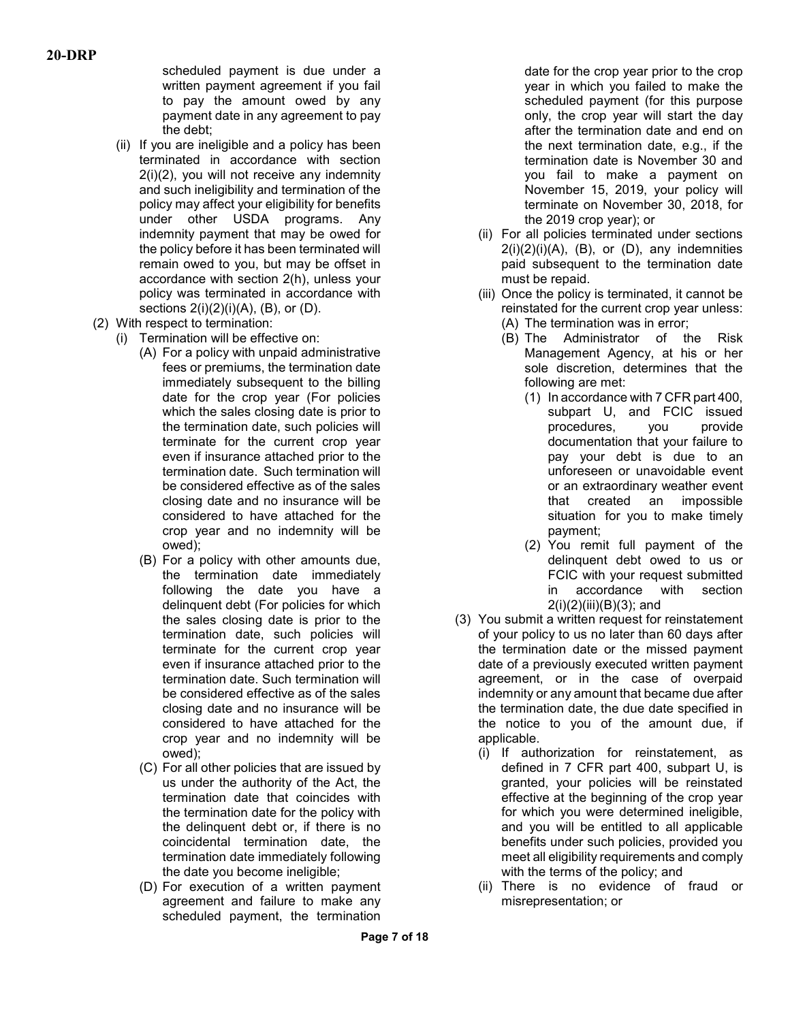scheduled payment is due under a written payment agreement if you fail to pay the amount owed by any payment date in any agreement to pay the debt;

- (ii) If you are ineligible and a policy has been terminated in accordance with section 2(i)(2), you will not receive any indemnity and such ineligibility and termination of the policy may affect your eligibility for benefits under other USDA programs. Any indemnity payment that may be owed for the policy before it has been terminated will remain owed to you, but may be offset in accordance with section 2(h), unless your policy was terminated in accordance with sections  $2(i)(2)(i)(A)$ ,  $(B)$ , or  $(D)$ .
- (2) With respect to termination:
	- (i) Termination will be effective on:
		- (A) For a policy with unpaid administrative fees or premiums, the termination date immediately subsequent to the billing date for the crop year (For policies which the sales closing date is prior to the termination date, such policies will terminate for the current crop year even if insurance attached prior to the termination date. Such termination will be considered effective as of the sales closing date and no insurance will be considered to have attached for the crop year and no indemnity will be owed);
		- (B) For a policy with other amounts due, the termination date immediately following the date you have a delinquent debt (For policies for which the sales closing date is prior to the termination date, such policies will terminate for the current crop year even if insurance attached prior to the termination date. Such termination will be considered effective as of the sales closing date and no insurance will be considered to have attached for the crop year and no indemnity will be owed);
		- (C) For all other policies that are issued by us under the authority of the Act, the termination date that coincides with the termination date for the policy with the delinquent debt or, if there is no coincidental termination date, the termination date immediately following the date you become ineligible;
		- (D) For execution of a written payment agreement and failure to make any scheduled payment, the termination

date for the crop year prior to the crop year in which you failed to make the scheduled payment (for this purpose only, the crop year will start the day after the termination date and end on the next termination date, e.g., if the termination date is November 30 and you fail to make a payment on November 15, 2019, your policy will terminate on November 30, 2018, for the 2019 crop year); or

- (ii) For all policies terminated under sections  $2(i)(2)(i)(A)$ ,  $(B)$ , or  $(D)$ , any indemnities paid subsequent to the termination date must be repaid.
- (iii) Once the policy is terminated, it cannot be reinstated for the current crop year unless: (A) The termination was in error;
	- (B) The Administrator of the Risk Management Agency, at his or her sole discretion, determines that the following are met:
		- (1) In accordance with 7 CFR part 400, subpart U, and FCIC issued procedures, you provide documentation that your failure to pay your debt is due to an unforeseen or unavoidable event or an extraordinary weather event that created an impossible situation for you to make timely payment;
		- (2) You remit full payment of the delinquent debt owed to us or FCIC with your request submitted in accordance with section  $2(i)(2)(iii)(B)(3);$  and
- (3) You submit a written request for reinstatement of your policy to us no later than 60 days after the termination date or the missed payment date of a previously executed written payment agreement, or in the case of overpaid indemnity or any amount that became due after the termination date, the due date specified in the notice to you of the amount due, if applicable.
	- (i) If authorization for reinstatement, as defined in 7 CFR part 400, subpart U, is granted, your policies will be reinstated effective at the beginning of the crop year for which you were determined ineligible, and you will be entitled to all applicable benefits under such policies, provided you meet all eligibility requirements and comply with the terms of the policy; and
	- (ii) There is no evidence of fraud or misrepresentation; or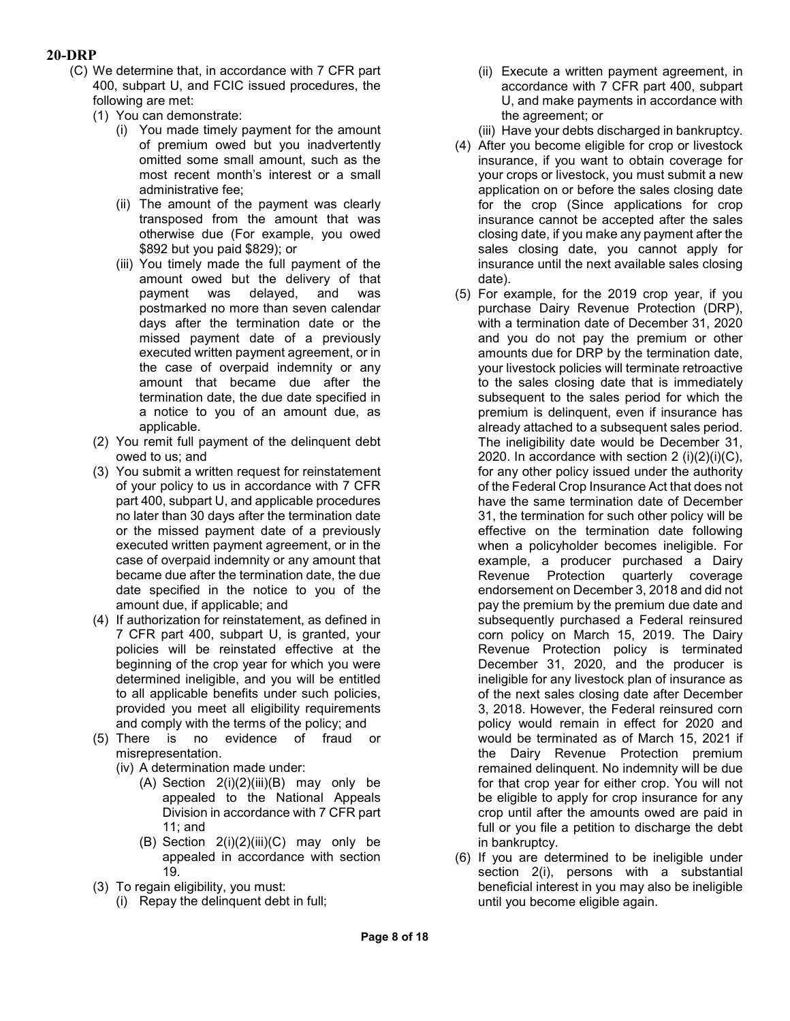- (C) We determine that, in accordance with 7 CFR part 400, subpart U, and FCIC issued procedures, the following are met:
	- (1) You can demonstrate:
		- (i) You made timely payment for the amount of premium owed but you inadvertently omitted some small amount, such as the most recent month's interest or a small administrative fee;
		- (ii) The amount of the payment was clearly transposed from the amount that was otherwise due (For example, you owed \$892 but you paid \$829); or
		- (iii) You timely made the full payment of the amount owed but the delivery of that<br>payment was delaved. and was payment was delayed, and postmarked no more than seven calendar days after the termination date or the missed payment date of a previously executed written payment agreement, or in the case of overpaid indemnity or any amount that became due after the termination date, the due date specified in a notice to you of an amount due, as applicable.
	- (2) You remit full payment of the delinquent debt owed to us; and
	- (3) You submit a written request for reinstatement of your policy to us in accordance with 7 CFR part 400, subpart U, and applicable procedures no later than 30 days after the termination date or the missed payment date of a previously executed written payment agreement, or in the case of overpaid indemnity or any amount that became due after the termination date, the due date specified in the notice to you of the amount due, if applicable; and
	- (4) If authorization for reinstatement, as defined in 7 CFR part 400, subpart U, is granted, your policies will be reinstated effective at the beginning of the crop year for which you were determined ineligible, and you will be entitled to all applicable benefits under such policies, provided you meet all eligibility requirements and comply with the terms of the policy; and
	- (5) There is no evidence of fraud or misrepresentation.
		- (iv) A determination made under:
			- (A) Section  $2(i)(2)(iii)(B)$  may only be appealed to the National Appeals Division in accordance with 7 CFR part 11; and
			- (B) Section  $2(i)(2)(iii)(C)$  may only be appealed in accordance with section 19.
	- (3) To regain eligibility, you must:
		- (i) Repay the delinquent debt in full;
- (ii) Execute a written payment agreement, in accordance with 7 CFR part 400, subpart U, and make payments in accordance with the agreement; or
- (iii) Have your debts discharged in bankruptcy.
- (4) After you become eligible for crop or livestock insurance, if you want to obtain coverage for your crops or livestock, you must submit a new application on or before the sales closing date for the crop (Since applications for crop insurance cannot be accepted after the sales closing date, if you make any payment after the sales closing date, you cannot apply for insurance until the next available sales closing date).
- (5) For example, for the 2019 crop year, if you purchase Dairy Revenue Protection (DRP), with a termination date of December 31, 2020 and you do not pay the premium or other amounts due for DRP by the termination date, your livestock policies will terminate retroactive to the sales closing date that is immediately subsequent to the sales period for which the premium is delinquent, even if insurance has already attached to a subsequent sales period. The ineligibility date would be December 31, 2020. In accordance with section  $2 \text{ (i)}(2)(i)(C)$ , for any other policy issued under the authority of the Federal Crop Insurance Act that does not have the same termination date of December 31, the termination for such other policy will be effective on the termination date following when a policyholder becomes ineligible. For example, a producer purchased a Dairy Revenue Protection quarterly coverage endorsement on December 3, 2018 and did not pay the premium by the premium due date and subsequently purchased a Federal reinsured corn policy on March 15, 2019. The Dairy Revenue Protection policy is terminated December 31, 2020, and the producer is ineligible for any livestock plan of insurance as of the next sales closing date after December 3, 2018. However, the Federal reinsured corn policy would remain in effect for 2020 and would be terminated as of March 15, 2021 if the Dairy Revenue Protection premium remained delinquent. No indemnity will be due for that crop year for either crop. You will not be eligible to apply for crop insurance for any crop until after the amounts owed are paid in full or you file a petition to discharge the debt in bankruptcy.
- (6) If you are determined to be ineligible under section 2(i), persons with a substantial beneficial interest in you may also be ineligible until you become eligible again.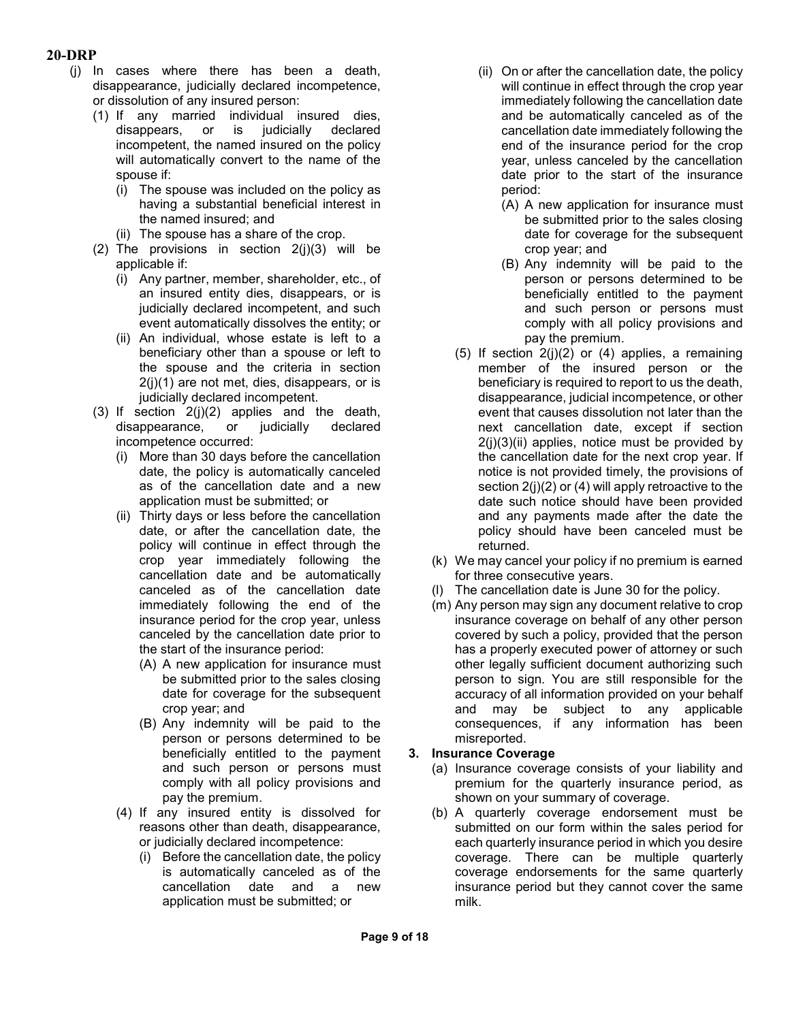- (j) In cases where there has been a death, disappearance, judicially declared incompetence, or dissolution of any insured person:
	- (1) If any married individual insured dies, disappears, or is judicially declared incompetent, the named insured on the policy will automatically convert to the name of the spouse if:
		- (i) The spouse was included on the policy as having a substantial beneficial interest in the named insured; and
		- (ii) The spouse has a share of the crop.
	- (2) The provisions in section  $2(i)(3)$  will be applicable if:
		- (i) Any partner, member, shareholder, etc., of an insured entity dies, disappears, or is judicially declared incompetent, and such event automatically dissolves the entity; or
		- (ii) An individual, whose estate is left to a beneficiary other than a spouse or left to the spouse and the criteria in section 2(j)(1) are not met, dies, disappears, or is judicially declared incompetent.
	- (3) If section 2(j)(2) applies and the death, disappearance, or judicially declared incompetence occurred:
		- (i) More than 30 days before the cancellation date, the policy is automatically canceled as of the cancellation date and a new application must be submitted; or
		- (ii) Thirty days or less before the cancellation date, or after the cancellation date, the policy will continue in effect through the crop year immediately following the cancellation date and be automatically canceled as of the cancellation date immediately following the end of the insurance period for the crop year, unless canceled by the cancellation date prior to the start of the insurance period:
			- (A) A new application for insurance must be submitted prior to the sales closing date for coverage for the subsequent crop year; and
			- (B) Any indemnity will be paid to the person or persons determined to be beneficially entitled to the payment and such person or persons must comply with all policy provisions and pay the premium.
		- (4) If any insured entity is dissolved for reasons other than death, disappearance, or judicially declared incompetence:
			- (i) Before the cancellation date, the policy is automatically canceled as of the cancellation date and a new application must be submitted; or
- (ii) On or after the cancellation date, the policy will continue in effect through the crop year immediately following the cancellation date and be automatically canceled as of the cancellation date immediately following the end of the insurance period for the crop year, unless canceled by the cancellation date prior to the start of the insurance period:
	- (A) A new application for insurance must be submitted prior to the sales closing date for coverage for the subsequent crop year; and
	- (B) Any indemnity will be paid to the person or persons determined to be beneficially entitled to the payment and such person or persons must comply with all policy provisions and pay the premium.
- (5) If section 2(j)(2) or (4) applies, a remaining member of the insured person or the beneficiary is required to report to us the death, disappearance, judicial incompetence, or other event that causes dissolution not later than the next cancellation date, except if section  $2(i)(3)(ii)$  applies, notice must be provided by the cancellation date for the next crop year. If notice is not provided timely, the provisions of section  $2(i)(2)$  or (4) will apply retroactive to the date such notice should have been provided and any payments made after the date the policy should have been canceled must be returned.
- (k) We may cancel your policy if no premium is earned for three consecutive years.
- (l) The cancellation date is June 30 for the policy.
- (m) Any person may sign any document relative to crop insurance coverage on behalf of any other person covered by such a policy, provided that the person has a properly executed power of attorney or such other legally sufficient document authorizing such person to sign. You are still responsible for the accuracy of all information provided on your behalf and may be subject to any applicable consequences, if any information has been misreported.

## **3. Insurance Coverage**

- (a) Insurance coverage consists of your liability and premium for the quarterly insurance period, as shown on your summary of coverage.
- (b) A quarterly coverage endorsement must be submitted on our form within the sales period for each quarterly insurance period in which you desire coverage. There can be multiple quarterly coverage endorsements for the same quarterly insurance period but they cannot cover the same milk.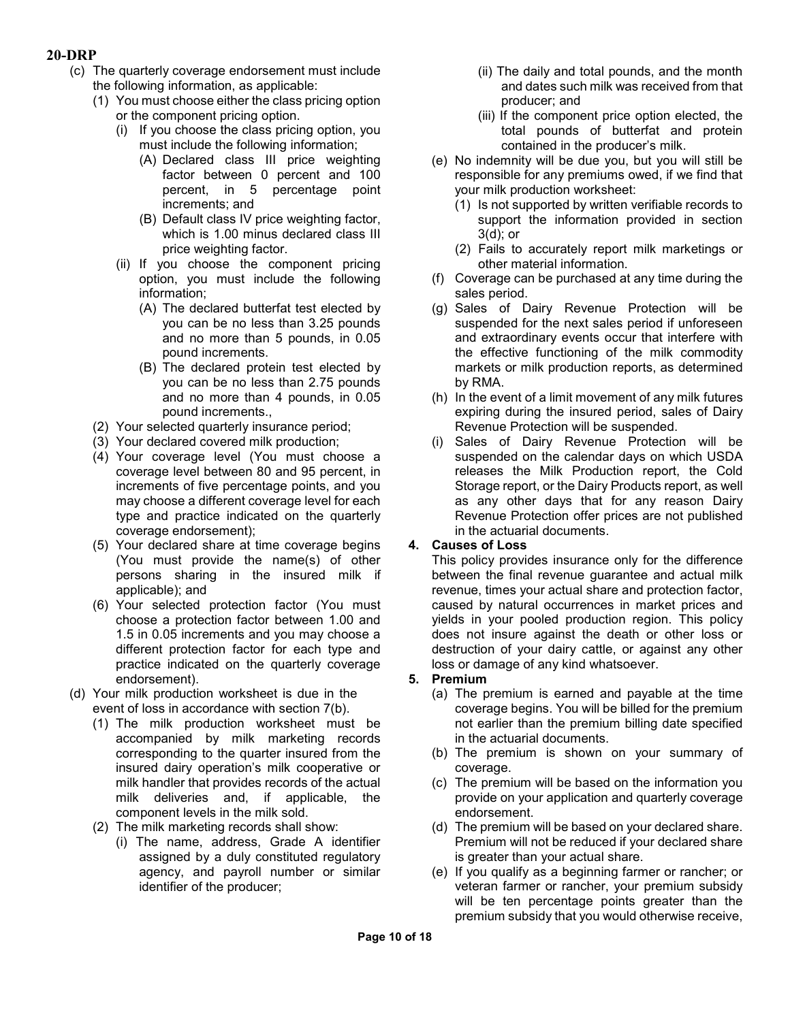- (c) The quarterly coverage endorsement must include the following information, as applicable:
	- (1) You must choose either the class pricing option or the component pricing option.
		- (i) If you choose the class pricing option, you must include the following information;
			- (A) Declared class III price weighting factor between 0 percent and 100 percent, in 5 percentage point increments; and
			- (B) Default class IV price weighting factor, which is 1.00 minus declared class III price weighting factor.
		- (ii) If you choose the component pricing option, you must include the following information;
			- (A) The declared butterfat test elected by you can be no less than 3.25 pounds and no more than 5 pounds, in 0.05 pound increments.
			- (B) The declared protein test elected by you can be no less than 2.75 pounds and no more than 4 pounds, in 0.05 pound increments.,
	- (2) Your selected quarterly insurance period;
	- (3) Your declared covered milk production;
	- (4) Your coverage level (You must choose a coverage level between 80 and 95 percent, in increments of five percentage points, and you may choose a different coverage level for each type and practice indicated on the quarterly coverage endorsement);
	- (5) Your declared share at time coverage begins (You must provide the name(s) of other persons sharing in the insured milk if applicable); and
	- (6) Your selected protection factor (You must choose a protection factor between 1.00 and 1.5 in 0.05 increments and you may choose a different protection factor for each type and practice indicated on the quarterly coverage endorsement).
- (d) Your milk production worksheet is due in the event of loss in accordance with section 7(b).
	- (1) The milk production worksheet must be accompanied by milk marketing records corresponding to the quarter insured from the insured dairy operation's milk cooperative or milk handler that provides records of the actual milk deliveries and, if applicable, the component levels in the milk sold.
	- (2) The milk marketing records shall show:
		- (i) The name, address, Grade A identifier assigned by a duly constituted regulatory agency, and payroll number or similar identifier of the producer;
- (ii) The daily and total pounds, and the month and dates such milk was received from that producer; and
- (iii) If the component price option elected, the total pounds of butterfat and protein contained in the producer's milk.
- (e) No indemnity will be due you, but you will still be responsible for any premiums owed, if we find that your milk production worksheet:
	- (1) Is not supported by written verifiable records to support the information provided in section 3(d); or
	- (2) Fails to accurately report milk marketings or other material information.
- (f) Coverage can be purchased at any time during the sales period.
- (g) Sales of Dairy Revenue Protection will be suspended for the next sales period if unforeseen and extraordinary events occur that interfere with the effective functioning of the milk commodity markets or milk production reports, as determined by RMA.
- (h) In the event of a limit movement of any milk futures expiring during the insured period, sales of Dairy Revenue Protection will be suspended.
- (i) Sales of Dairy Revenue Protection will be suspended on the calendar days on which USDA releases the Milk Production report, the Cold Storage report, or the Dairy Products report, as well as any other days that for any reason Dairy Revenue Protection offer prices are not published in the actuarial documents.

## **4. Causes of Loss**

This policy provides insurance only for the difference between the final revenue guarantee and actual milk revenue, times your actual share and protection factor, caused by natural occurrences in market prices and yields in your pooled production region. This policy does not insure against the death or other loss or destruction of your dairy cattle, or against any other loss or damage of any kind whatsoever.

## **5. Premium**

- (a) The premium is earned and payable at the time coverage begins. You will be billed for the premium not earlier than the premium billing date specified in the actuarial documents.
- (b) The premium is shown on your summary of coverage.
- (c) The premium will be based on the information you provide on your application and quarterly coverage endorsement.
- (d) The premium will be based on your declared share. Premium will not be reduced if your declared share is greater than your actual share.
- (e) If you qualify as a beginning farmer or rancher; or veteran farmer or rancher, your premium subsidy will be ten percentage points greater than the premium subsidy that you would otherwise receive,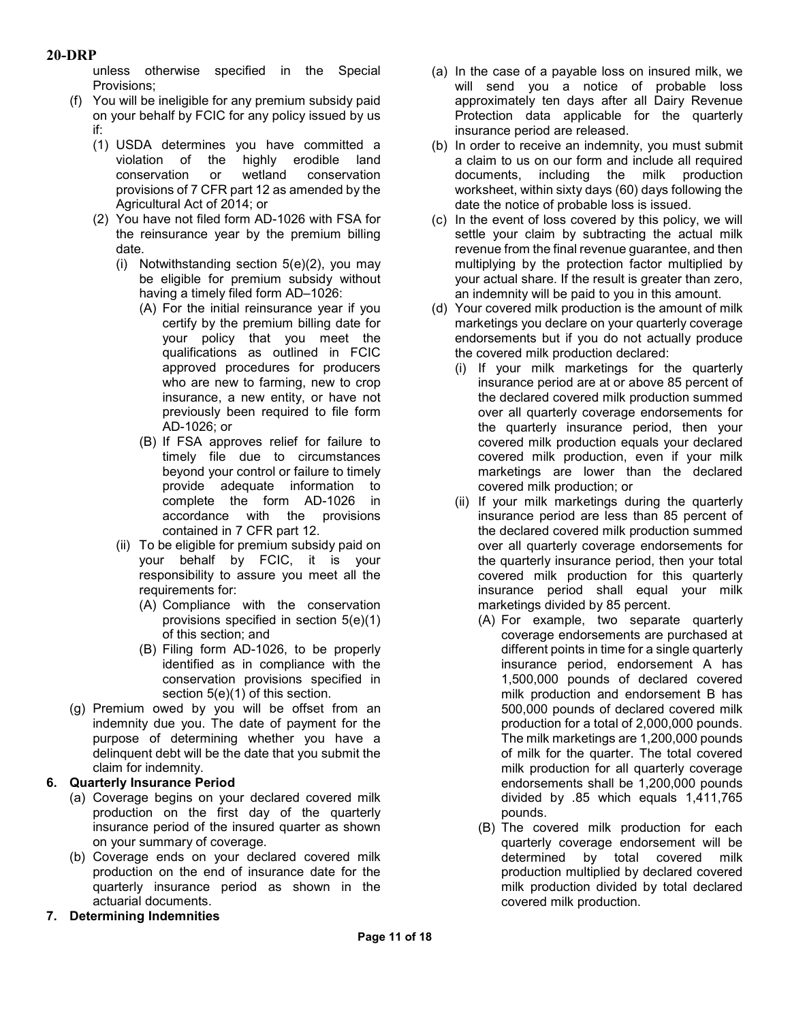unless otherwise specified in the Special Provisions;

- (f) You will be ineligible for any premium subsidy paid on your behalf by FCIC for any policy issued by us if:
	- (1) USDA determines you have committed a violation of the highly erodible land conservation or wetland conservation provisions of 7 CFR part 12 as amended by the Agricultural Act of 2014; or
	- (2) You have not filed form AD-1026 with FSA for the reinsurance year by the premium billing date.
		- (i) Notwithstanding section 5(e)(2), you may be eligible for premium subsidy without having a timely filed form AD–1026:
			- (A) For the initial reinsurance year if you certify by the premium billing date for your policy that you meet the qualifications as outlined in FCIC approved procedures for producers who are new to farming, new to crop insurance, a new entity, or have not previously been required to file form AD-1026; or
			- (B) If FSA approves relief for failure to timely file due to circumstances beyond your control or failure to timely provide adequate information to complete the form AD-1026 in accordance with the provisions contained in 7 CFR part 12.
		- (ii) To be eligible for premium subsidy paid on your behalf by FCIC, it is your responsibility to assure you meet all the requirements for:
			- (A) Compliance with the conservation provisions specified in section 5(e)(1) of this section; and
			- (B) Filing form AD-1026, to be properly identified as in compliance with the conservation provisions specified in section 5(e)(1) of this section.
- (g) Premium owed by you will be offset from an indemnity due you. The date of payment for the purpose of determining whether you have a delinquent debt will be the date that you submit the claim for indemnity.

# **6. Quarterly Insurance Period**

- (a) Coverage begins on your declared covered milk production on the first day of the quarterly insurance period of the insured quarter as shown on your summary of coverage.
- (b) Coverage ends on your declared covered milk production on the end of insurance date for the quarterly insurance period as shown in the actuarial documents.
- **7. Determining Indemnities**
- (a) In the case of a payable loss on insured milk, we will send you a notice of probable loss approximately ten days after all Dairy Revenue Protection data applicable for the quarterly insurance period are released.
- (b) In order to receive an indemnity, you must submit a claim to us on our form and include all required documents, including the milk production worksheet, within sixty days (60) days following the date the notice of probable loss is issued.
- (c) In the event of loss covered by this policy, we will settle your claim by subtracting the actual milk revenue from the final revenue guarantee, and then multiplying by the protection factor multiplied by your actual share. If the result is greater than zero, an indemnity will be paid to you in this amount.
- (d) Your covered milk production is the amount of milk marketings you declare on your quarterly coverage endorsements but if you do not actually produce the covered milk production declared:
	- (i) If your milk marketings for the quarterly insurance period are at or above 85 percent of the declared covered milk production summed over all quarterly coverage endorsements for the quarterly insurance period, then your covered milk production equals your declared covered milk production, even if your milk marketings are lower than the declared covered milk production; or
	- (ii) If your milk marketings during the quarterly insurance period are less than 85 percent of the declared covered milk production summed over all quarterly coverage endorsements for the quarterly insurance period, then your total covered milk production for this quarterly insurance period shall equal your milk marketings divided by 85 percent.
		- (A) For example, two separate quarterly coverage endorsements are purchased at different points in time for a single quarterly insurance period, endorsement A has 1,500,000 pounds of declared covered milk production and endorsement B has 500,000 pounds of declared covered milk production for a total of 2,000,000 pounds. The milk marketings are 1,200,000 pounds of milk for the quarter. The total covered milk production for all quarterly coverage endorsements shall be 1,200,000 pounds divided by .85 which equals 1,411,765 pounds.
		- (B) The covered milk production for each quarterly coverage endorsement will be determined by total covered milk production multiplied by declared covered milk production divided by total declared covered milk production.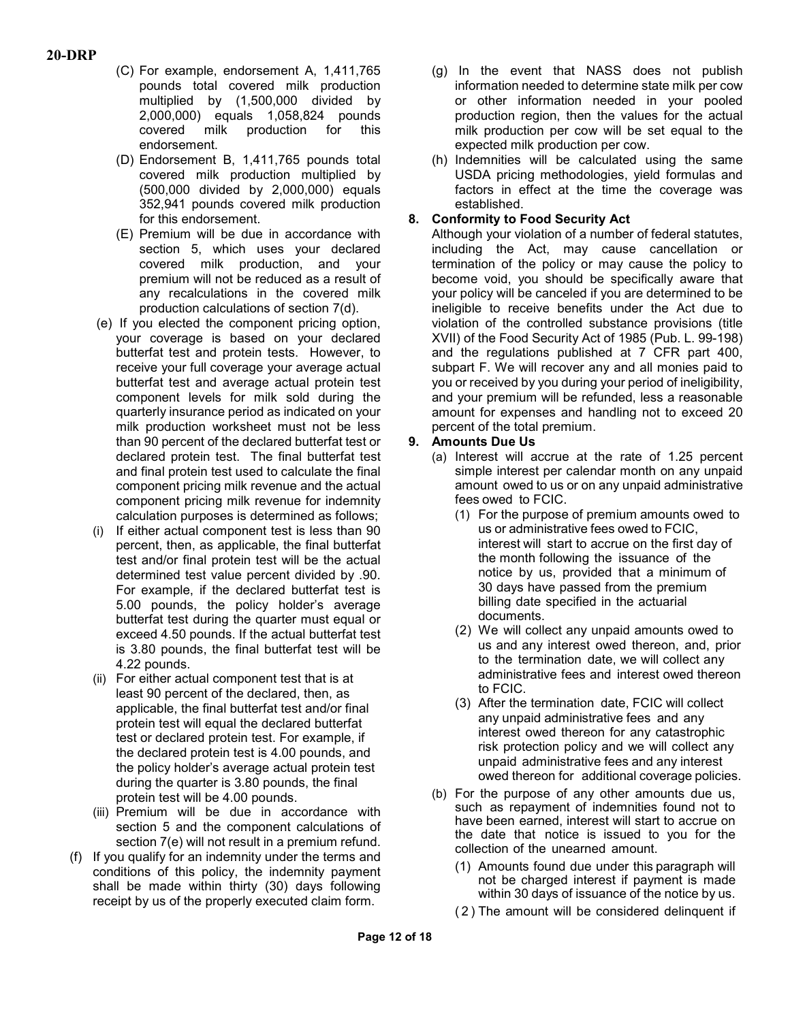- (C) For example, endorsement A, 1,411,765 pounds total covered milk production multiplied by (1,500,000 divided by 2,000,000) equals 1,058,824 pounds covered milk production for this endorsement.
- (D) Endorsement B, 1,411,765 pounds total covered milk production multiplied by (500,000 divided by 2,000,000) equals 352,941 pounds covered milk production for this endorsement.
- (E) Premium will be due in accordance with section 5, which uses your declared covered milk production, and your premium will not be reduced as a result of any recalculations in the covered milk production calculations of section 7(d).
- (e) If you elected the component pricing option, your coverage is based on your declared butterfat test and protein tests. However, to receive your full coverage your average actual butterfat test and average actual protein test component levels for milk sold during the quarterly insurance period as indicated on your milk production worksheet must not be less than 90 percent of the declared butterfat test or declared protein test. The final butterfat test and final protein test used to calculate the final component pricing milk revenue and the actual component pricing milk revenue for indemnity calculation purposes is determined as follows;
- (i) If either actual component test is less than 90 percent, then, as applicable, the final butterfat test and/or final protein test will be the actual determined test value percent divided by .90. For example, if the declared butterfat test is 5.00 pounds, the policy holder's average butterfat test during the quarter must equal or exceed 4.50 pounds. If the actual butterfat test is 3.80 pounds, the final butterfat test will be 4.22 pounds.
- (ii) For either actual component test that is at least 90 percent of the declared, then, as applicable, the final butterfat test and/or final protein test will equal the declared butterfat test or declared protein test. For example, if the declared protein test is 4.00 pounds, and the policy holder's average actual protein test during the quarter is 3.80 pounds, the final protein test will be 4.00 pounds.
- (iii) Premium will be due in accordance with section 5 and the component calculations of section 7(e) will not result in a premium refund.
- (f) If you qualify for an indemnity under the terms and conditions of this policy, the indemnity payment shall be made within thirty (30) days following receipt by us of the properly executed claim form.
- (g) In the event that NASS does not publish information needed to determine state milk per cow or other information needed in your pooled production region, then the values for the actual milk production per cow will be set equal to the expected milk production per cow.
- (h) Indemnities will be calculated using the same USDA pricing methodologies, yield formulas and factors in effect at the time the coverage was established.

# **8. Conformity to Food Security Act**

Although your violation of a number of federal statutes, including the Act, may cause cancellation or termination of the policy or may cause the policy to become void, you should be specifically aware that your policy will be canceled if you are determined to be ineligible to receive benefits under the Act due to violation of the controlled substance provisions (title XVII) of the Food Security Act of 1985 (Pub. L. 99-198) and the regulations published at 7 CFR part 400, subpart F. We will recover any and all monies paid to you or received by you during your period of ineligibility, and your premium will be refunded, less a reasonable amount for expenses and handling not to exceed 20 percent of the total premium.

## **9. Amounts Due Us**

- (a) Interest will accrue at the rate of 1.25 percent simple interest per calendar month on any unpaid amount owed to us or on any unpaid administrative fees owed to FCIC.
	- (1) For the purpose of premium amounts owed to us or administrative fees owed to FCIC, interest will start to accrue on the first day of the month following the issuance of the notice by us, provided that a minimum of 30 days have passed from the premium billing date specified in the actuarial documents.
	- (2) We will collect any unpaid amounts owed to us and any interest owed thereon, and, prior to the termination date, we will collect any administrative fees and interest owed thereon to FCIC.
	- (3) After the termination date, FCIC will collect any unpaid administrative fees and any interest owed thereon for any catastrophic risk protection policy and we will collect any unpaid administrative fees and any interest owed thereon for additional coverage policies.
- (b) For the purpose of any other amounts due us, such as repayment of indemnities found not to have been earned, interest will start to accrue on the date that notice is issued to you for the collection of the unearned amount.
	- (1) Amounts found due under this paragraph will not be charged interest if payment is made within 30 days of issuance of the notice by us.
	- (2) The amount will be considered delinquent if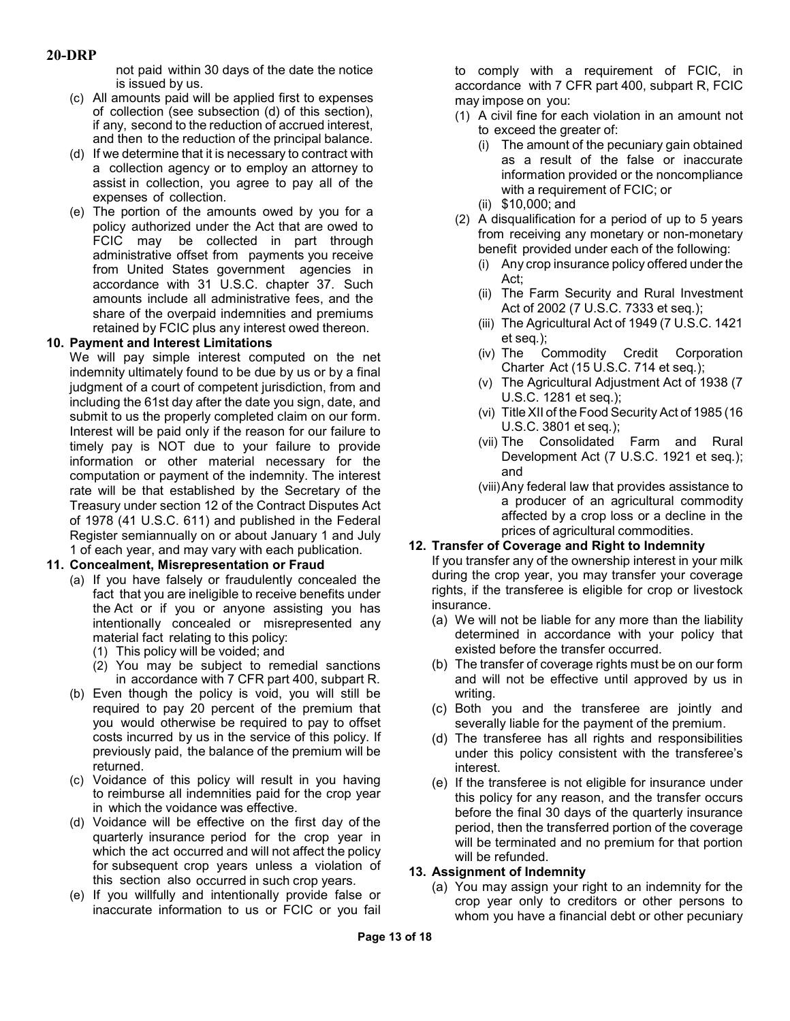not paid within 30 days of the date the notice is issued by us.

- (c) All amounts paid will be applied first to expenses of collection (see subsection (d) of this section), if any, second to the reduction of accrued interest, and then to the reduction of the principal balance.
- (d) If we determine that it is necessary to contract with a collection agency or to employ an attorney to assist in collection, you agree to pay all of the expenses of collection.
- (e) The portion of the amounts owed by you for a policy authorized under the Act that are owed to FCIC may be collected in part through administrative offset from payments you receive from United States government agencies in accordance with 31 U.S.C. chapter 37. Such amounts include all administrative fees, and the share of the overpaid indemnities and premiums retained by FCIC plus any interest owed thereon.

## **10. Payment and Interest Limitations**

We will pay simple interest computed on the net indemnity ultimately found to be due by us or by a final judgment of a court of competent jurisdiction, from and including the 61st day after the date you sign, date, and submit to us the properly completed claim on our form. Interest will be paid only if the reason for our failure to timely pay is NOT due to your failure to provide information or other material necessary for the computation or payment of the indemnity. The interest rate will be that established by the Secretary of the Treasury under section 12 of the Contract Disputes Act of 1978 (41 U.S.C. 611) and published in the Federal Register semiannually on or about January 1 and July 1 of each year, and may vary with each publication.

# **11. Concealment, Misrepresentation or Fraud**

- (a) If you have falsely or fraudulently concealed the fact that you are ineligible to receive benefits under the Act or if you or anyone assisting you has intentionally concealed or misrepresented any material fact relating to this policy:
	- (1) This policy will be voided; and
	- (2) You may be subject to remedial sanctions in accordance with 7 CFR part 400, subpart R.
- (b) Even though the policy is void, you will still be required to pay 20 percent of the premium that you would otherwise be required to pay to offset costs incurred by us in the service of this policy. If previously paid, the balance of the premium will be returned.
- (c) Voidance of this policy will result in you having to reimburse all indemnities paid for the crop year in which the voidance was effective.
- (d) Voidance will be effective on the first day of the quarterly insurance period for the crop year in which the act occurred and will not affect the policy for subsequent crop years unless a violation of this section also occurred in such crop years.
- (e) If you willfully and intentionally provide false or inaccurate information to us or FCIC or you fail

to comply with a requirement of FCIC, in accordance with 7 CFR part 400, subpart R, FCIC may impose on you:

- (1) A civil fine for each violation in an amount not to exceed the greater of:
	- (i) The amount of the pecuniary gain obtained as a result of the false or inaccurate information provided or the noncompliance with a requirement of FCIC; or
	- (ii) \$10,000; and
- (2) A disqualification for a period of up to 5 years from receiving any monetary or non-monetary benefit provided under each of the following:
	- (i) Any crop insurance policy offered under the Act;
	- (ii) The Farm Security and Rural Investment Act of 2002 (7 U.S.C. 7333 et seq*.*);
	- (iii) The Agricultural Act of 1949 (7 U.S.C. 1421 et seq*.*);
	- (iv) The Commodity Credit Corporation Charter Act (15 U.S.C. 714 et seq*.*);
	- (v) The Agricultural Adjustment Act of 1938 (7 U.S.C. 1281 et seq.);
	- (vi) Title XII of the Food Security Act of 1985 (16 U.S.C. 3801 et seq*.*);
	- (vii) The Consolidated Farm and Rural Development Act (7 U.S.C. 1921 et seq*.*); and
	- (viii)Any federal law that provides assistance to a producer of an agricultural commodity affected by a crop loss or a decline in the prices of agricultural commodities.

## **12. Transfer of Coverage and Right to Indemnity**

If you transfer any of the ownership interest in your milk during the crop year, you may transfer your coverage rights, if the transferee is eligible for crop or livestock insurance.

- (a) We will not be liable for any more than the liability determined in accordance with your policy that existed before the transfer occurred.
- (b) The transfer of coverage rights must be on our form and will not be effective until approved by us in writing.
- (c) Both you and the transferee are jointly and severally liable for the payment of the premium.
- (d) The transferee has all rights and responsibilities under this policy consistent with the transferee's interest.
- (e) If the transferee is not eligible for insurance under this policy for any reason, and the transfer occurs before the final 30 days of the quarterly insurance period, then the transferred portion of the coverage will be terminated and no premium for that portion will be refunded.

## **13. Assignment of Indemnity**

(a) You may assign your right to an indemnity for the crop year only to creditors or other persons to whom you have a financial debt or other pecuniary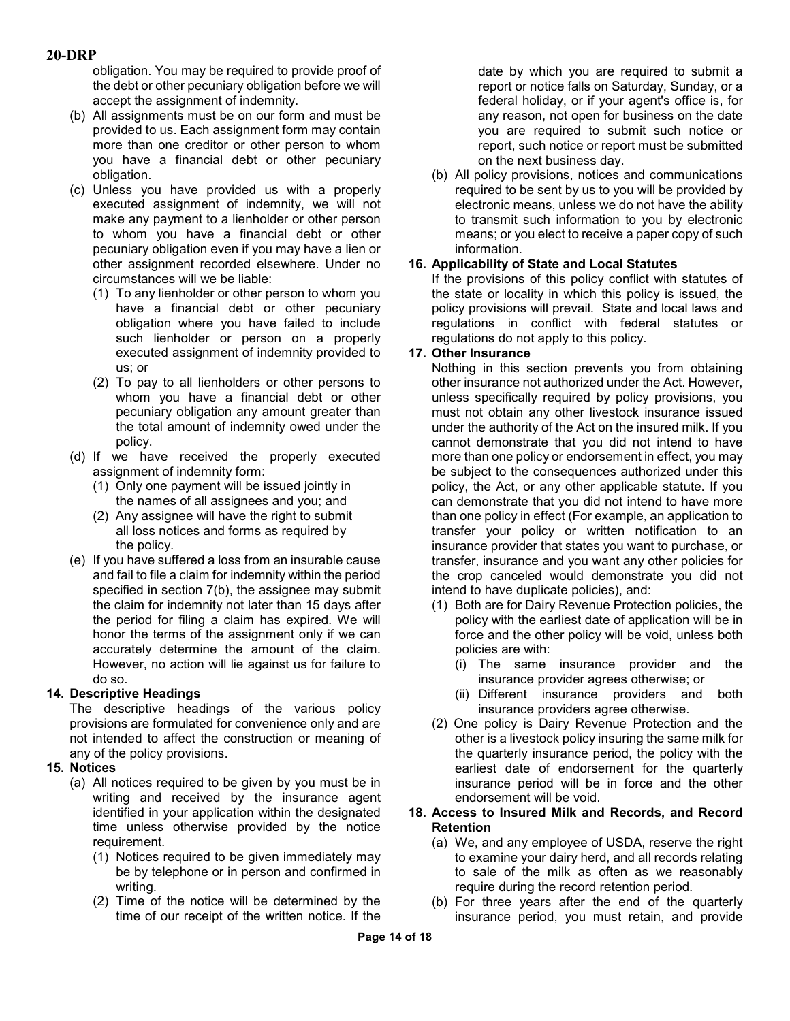obligation. You may be required to provide proof of the debt or other pecuniary obligation before we will accept the assignment of indemnity.

- (b) All assignments must be on our form and must be provided to us. Each assignment form may contain more than one creditor or other person to whom you have a financial debt or other pecuniary obligation.
- (c) Unless you have provided us with a properly executed assignment of indemnity, we will not make any payment to a lienholder or other person to whom you have a financial debt or other pecuniary obligation even if you may have a lien or other assignment recorded elsewhere. Under no circumstances will we be liable:
	- (1) To any lienholder or other person to whom you have a financial debt or other pecuniary obligation where you have failed to include such lienholder or person on a properly executed assignment of indemnity provided to us; or
	- (2) To pay to all lienholders or other persons to whom you have a financial debt or other pecuniary obligation any amount greater than the total amount of indemnity owed under the policy.
- (d) If we have received the properly executed assignment of indemnity form:
	- (1) Only one payment will be issued jointly in the names of all assignees and you; and
	- (2) Any assignee will have the right to submit all loss notices and forms as required by the policy.
- (e) If you have suffered a loss from an insurable cause and fail to file a claim for indemnity within the period specified in section 7(b), the assignee may submit the claim for indemnity not later than 15 days after the period for filing a claim has expired. We will honor the terms of the assignment only if we can accurately determine the amount of the claim. However, no action will lie against us for failure to do so.

## **14. Descriptive Headings**

The descriptive headings of the various policy provisions are formulated for convenience only and are not intended to affect the construction or meaning of any of the policy provisions.

## **15. Notices**

- (a) All notices required to be given by you must be in writing and received by the insurance agent identified in your application within the designated time unless otherwise provided by the notice requirement.
	- (1) Notices required to be given immediately may be by telephone or in person and confirmed in writing.
	- (2) Time of the notice will be determined by the time of our receipt of the written notice. If the

date by which you are required to submit a report or notice falls on Saturday, Sunday, or a federal holiday, or if your agent's office is, for any reason, not open for business on the date you are required to submit such notice or report, such notice or report must be submitted on the next business day.

(b) All policy provisions, notices and communications required to be sent by us to you will be provided by electronic means, unless we do not have the ability to transmit such information to you by electronic means; or you elect to receive a paper copy of such information.

## **16. Applicability of State and Local Statutes**

If the provisions of this policy conflict with statutes of the state or locality in which this policy is issued, the policy provisions will prevail. State and local laws and regulations in conflict with federal statutes or regulations do not apply to this policy.

## **17. Other Insurance**

Nothing in this section prevents you from obtaining other insurance not authorized under the Act. However, unless specifically required by policy provisions, you must not obtain any other livestock insurance issued under the authority of the Act on the insured milk. If you cannot demonstrate that you did not intend to have more than one policy or endorsement in effect, you may be subject to the consequences authorized under this policy, the Act, or any other applicable statute. If you can demonstrate that you did not intend to have more than one policy in effect (For example, an application to transfer your policy or written notification to an insurance provider that states you want to purchase, or transfer, insurance and you want any other policies for the crop canceled would demonstrate you did not intend to have duplicate policies), and:

- (1) Both are for Dairy Revenue Protection policies, the policy with the earliest date of application will be in force and the other policy will be void, unless both policies are with:
	- (i) The same insurance provider and the insurance provider agrees otherwise; or
	- (ii) Different insurance providers and both insurance providers agree otherwise.
- (2) One policy is Dairy Revenue Protection and the other is a livestock policy insuring the same milk for the quarterly insurance period, the policy with the earliest date of endorsement for the quarterly insurance period will be in force and the other endorsement will be void.

#### **18. Access to Insured Milk and Records, and Record Retention**

- (a) We, and any employee of USDA, reserve the right to examine your dairy herd, and all records relating to sale of the milk as often as we reasonably require during the record retention period.
- (b) For three years after the end of the quarterly insurance period, you must retain, and provide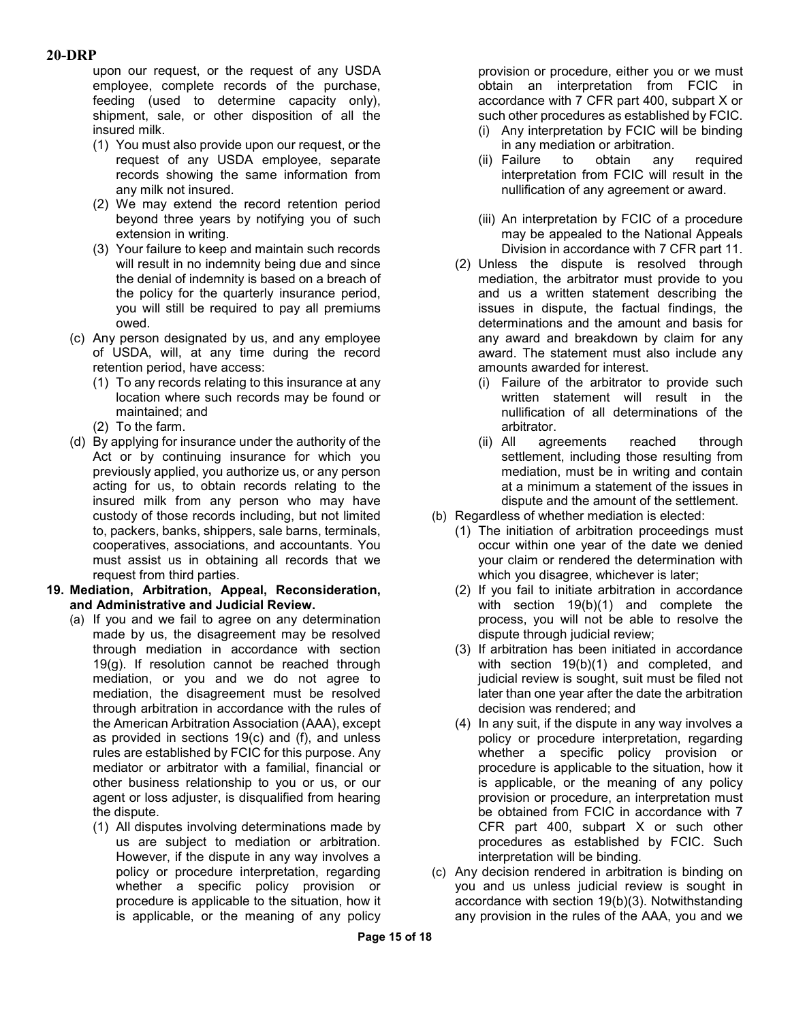upon our request, or the request of any USDA employee, complete records of the purchase, feeding (used to determine capacity only), shipment, sale, or other disposition of all the insured milk.

- (1) You must also provide upon our request, or the request of any USDA employee, separate records showing the same information from any milk not insured.
- (2) We may extend the record retention period beyond three years by notifying you of such extension in writing.
- (3) Your failure to keep and maintain such records will result in no indemnity being due and since the denial of indemnity is based on a breach of the policy for the quarterly insurance period, you will still be required to pay all premiums owed.
- (c) Any person designated by us, and any employee of USDA, will, at any time during the record retention period, have access:
	- (1) To any records relating to this insurance at any location where such records may be found or maintained; and
	- (2) To the farm.
- (d) By applying for insurance under the authority of the Act or by continuing insurance for which you previously applied, you authorize us, or any person acting for us, to obtain records relating to the insured milk from any person who may have custody of those records including, but not limited to, packers, banks, shippers, sale barns, terminals, cooperatives, associations, and accountants. You must assist us in obtaining all records that we request from third parties.
- **19. Mediation, Arbitration, Appeal, Reconsideration, and Administrative and Judicial Review.**
	- (a) If you and we fail to agree on any determination made by us, the disagreement may be resolved through mediation in accordance with section 19(g). If resolution cannot be reached through mediation, or you and we do not agree to mediation, the disagreement must be resolved through arbitration in accordance with the rules of the American Arbitration Association (AAA), except as provided in sections 19(c) and (f), and unless rules are established by FCIC for this purpose. Any mediator or arbitrator with a familial, financial or other business relationship to you or us, or our agent or loss adjuster, is disqualified from hearing the dispute.
		- (1) All disputes involving determinations made by us are subject to mediation or arbitration. However, if the dispute in any way involves a policy or procedure interpretation, regarding whether a specific policy provision or procedure is applicable to the situation, how it is applicable, or the meaning of any policy

provision or procedure, either you or we must obtain an interpretation from FCIC in accordance with 7 CFR part 400, subpart X or such other procedures as established by FCIC.

- (i) Any interpretation by FCIC will be binding in any mediation or arbitration.
- (ii) Failure to obtain any required interpretation from FCIC will result in the nullification of any agreement or award.
- (iii) An interpretation by FCIC of a procedure may be appealed to the National Appeals Division in accordance with 7 CFR part 11.
- (2) Unless the dispute is resolved through mediation, the arbitrator must provide to you and us a written statement describing the issues in dispute, the factual findings, the determinations and the amount and basis for any award and breakdown by claim for any award. The statement must also include any amounts awarded for interest.
	- (i) Failure of the arbitrator to provide such written statement will result in the nullification of all determinations of the arbitrator.
	- (ii) All agreements reached through settlement, including those resulting from mediation, must be in writing and contain at a minimum a statement of the issues in dispute and the amount of the settlement.
- (b) Regardless of whether mediation is elected:
	- (1) The initiation of arbitration proceedings must occur within one year of the date we denied your claim or rendered the determination with which you disagree, whichever is later;
	- (2) If you fail to initiate arbitration in accordance with section 19(b)(1) and complete the process, you will not be able to resolve the dispute through judicial review;
	- (3) If arbitration has been initiated in accordance with section 19(b)(1) and completed, and judicial review is sought, suit must be filed not later than one year after the date the arbitration decision was rendered; and
	- (4) In any suit, if the dispute in any way involves a policy or procedure interpretation, regarding whether a specific policy provision or procedure is applicable to the situation, how it is applicable, or the meaning of any policy provision or procedure, an interpretation must be obtained from FCIC in accordance with 7 CFR part 400, subpart X or such other procedures as established by FCIC. Such interpretation will be binding.
- (c) Any decision rendered in arbitration is binding on you and us unless judicial review is sought in accordance with section 19(b)(3). Notwithstanding any provision in the rules of the AAA, you and we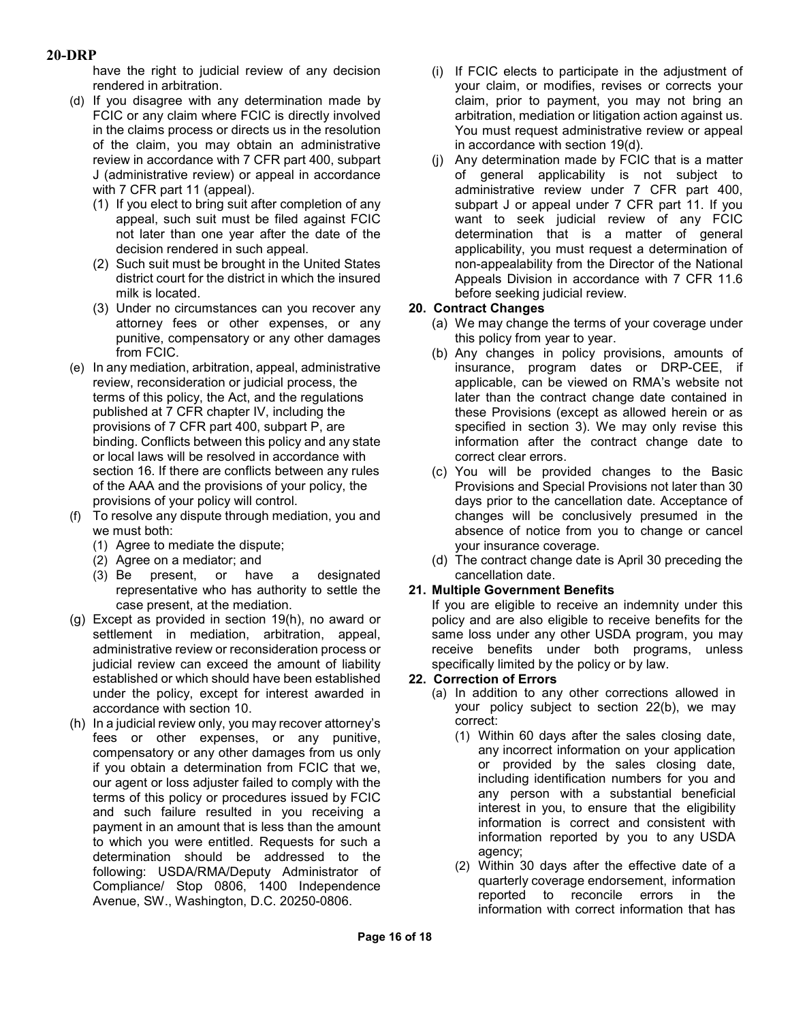have the right to judicial review of any decision rendered in arbitration.

- (d) If you disagree with any determination made by FCIC or any claim where FCIC is directly involved in the claims process or directs us in the resolution of the claim, you may obtain an administrative review in accordance with 7 CFR part 400, subpart J (administrative review) or appeal in accordance with 7 CFR part 11 (appeal).
	- (1) If you elect to bring suit after completion of any appeal, such suit must be filed against FCIC not later than one year after the date of the decision rendered in such appeal.
	- (2) Such suit must be brought in the United States district court for the district in which the insured milk is located.
	- (3) Under no circumstances can you recover any attorney fees or other expenses, or any punitive, compensatory or any other damages from FCIC.
- (e) In any mediation, arbitration, appeal, administrative review, reconsideration or judicial process, the terms of this policy, the Act, and the regulations published at 7 CFR chapter IV, including the provisions of 7 CFR part 400, subpart P, are binding. Conflicts between this policy and any state or local laws will be resolved in accordance with section 16. If there are conflicts between any rules of the AAA and the provisions of your policy, the provisions of your policy will control.
- (f) To resolve any dispute through mediation, you and we must both:
	- (1) Agree to mediate the dispute;
	- (2) Agree on a mediator; and
	- (3) Be present, or have a designated representative who has authority to settle the case present, at the mediation.
- (g) Except as provided in section 19(h), no award or settlement in mediation, arbitration, appeal, administrative review or reconsideration process or judicial review can exceed the amount of liability established or which should have been established under the policy, except for interest awarded in accordance with section 10.
- (h) In a judicial review only, you may recover attorney's fees or other expenses, or any punitive, compensatory or any other damages from us only if you obtain a determination from FCIC that we, our agent or loss adjuster failed to comply with the terms of this policy or procedures issued by FCIC and such failure resulted in you receiving a payment in an amount that is less than the amount to which you were entitled. Requests for such a determination should be addressed to the following: USDA/RMA/Deputy Administrator of Compliance/ Stop 0806, 1400 Independence Avenue, SW., Washington, D.C. 20250-0806.
- (i) If FCIC elects to participate in the adjustment of your claim, or modifies, revises or corrects your claim, prior to payment, you may not bring an arbitration, mediation or litigation action against us. You must request administrative review or appeal in accordance with section 19(d).
- (j) Any determination made by FCIC that is a matter of general applicability is not subject to administrative review under 7 CFR part 400, subpart J or appeal under 7 CFR part 11. If you want to seek judicial review of any FCIC determination that is a matter of general applicability, you must request a determination of non-appealability from the Director of the National Appeals Division in accordance with 7 CFR 11.6 before seeking judicial review.

## **20. Contract Changes**

- (a) We may change the terms of your coverage under this policy from year to year.
- (b) Any changes in policy provisions, amounts of insurance, program dates or DRP-CEE, if applicable, can be viewed on RMA's website not later than the contract change date contained in these Provisions (except as allowed herein or as specified in section 3). We may only revise this information after the contract change date to correct clear errors.
- (c) You will be provided changes to the Basic Provisions and Special Provisions not later than 30 days prior to the cancellation date. Acceptance of changes will be conclusively presumed in the absence of notice from you to change or cancel your insurance coverage.
- (d) The contract change date is April 30 preceding the cancellation date.

## **21. Multiple Government Benefits**

If you are eligible to receive an indemnity under this policy and are also eligible to receive benefits for the same loss under any other USDA program, you may receive benefits under both programs, unless specifically limited by the policy or by law.

## **22. Correction of Errors**

- (a) In addition to any other corrections allowed in your policy subject to section 22(b), we may correct:
	- (1) Within 60 days after the sales closing date, any incorrect information on your application or provided by the sales closing date, including identification numbers for you and any person with a substantial beneficial interest in you, to ensure that the eligibility information is correct and consistent with information reported by you to any USDA agency;
	- (2) Within 30 days after the effective date of a quarterly coverage endorsement, information reported to reconcile errors in the information with correct information that has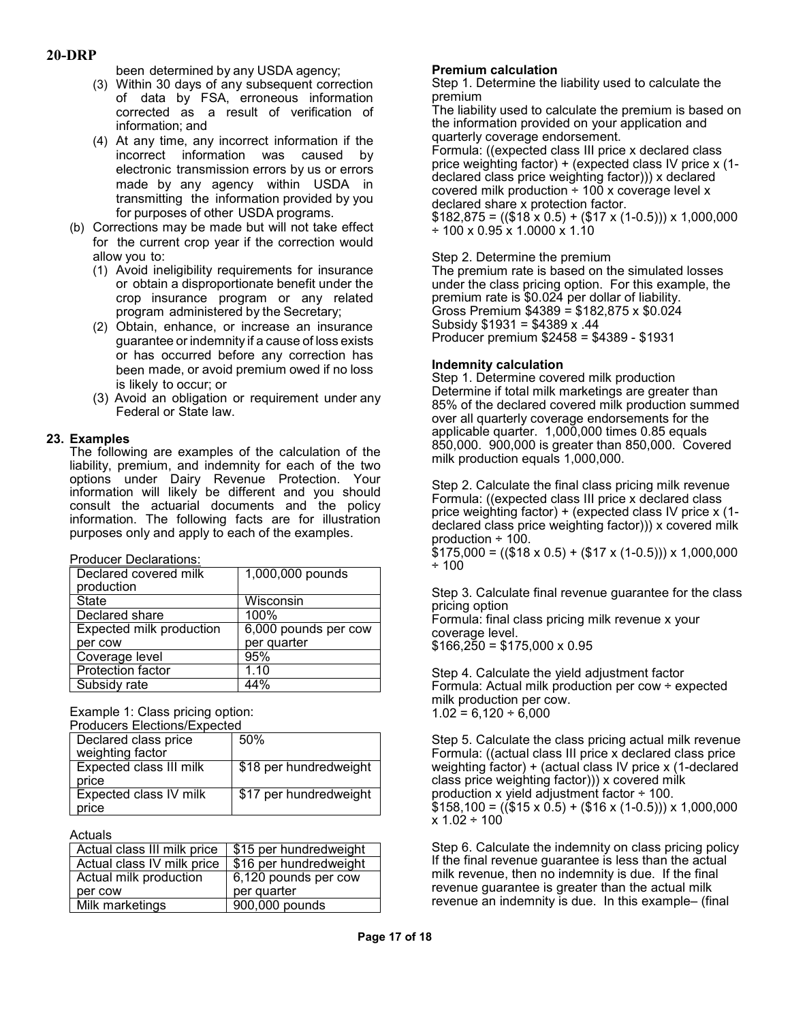been determined by any USDA agency;

- (3) Within 30 days of any subsequent correction of data by FSA, erroneous information corrected as a result of verification of information; and
- (4) At any time, any incorrect information if the incorrect information was caused by electronic transmission errors by us or errors made by any agency within USDA in transmitting the information provided by you for purposes of other USDA programs.
- (b) Corrections may be made but will not take effect for the current crop year if the correction would allow you to:
	- (1) Avoid ineligibility requirements for insurance or obtain a disproportionate benefit under the crop insurance program or any related program administered by the Secretary;
	- (2) Obtain, enhance, or increase an insurance guarantee or indemnity if a cause of loss exists or has occurred before any correction has been made, or avoid premium owed if no loss is likely to occur; or
	- (3) Avoid an obligation or requirement under any Federal or State law.

## **23. Examples**

The following are examples of the calculation of the liability, premium, and indemnity for each of the two options under Dairy Revenue Protection. Your information will likely be different and you should consult the actuarial documents and the policy information. The following facts are for illustration purposes only and apply to each of the examples.

| Declared covered milk<br>production | 1,000,000 pounds     |
|-------------------------------------|----------------------|
| <b>State</b>                        | Wisconsin            |
| Declared share                      | 100%                 |
| <b>Expected milk production</b>     | 6,000 pounds per cow |
| per cow                             | per quarter          |
| Coverage level                      | 95%                  |
| <b>Protection factor</b>            | 1.10                 |
| Subsidy rate                        | 44%                  |

Example 1: Class pricing option:

| <b>Producers Elections/Expected</b> |                        |
|-------------------------------------|------------------------|
| Declared class price                | 50%                    |
| weighting factor                    |                        |
| Expected class III milk             | \$18 per hundredweight |
| price                               |                        |
| Expected class IV milk              | \$17 per hundredweight |
| price                               |                        |

Actuals

| Actual class III milk price | \$15 per hundredweight |
|-----------------------------|------------------------|
| Actual class IV milk price  | \$16 per hundredweight |
| Actual milk production      | 6,120 pounds per cow   |
| per cow                     | per quarter            |
| Milk marketings             | 900,000 pounds         |

#### **Premium calculation**

Step 1. Determine the liability used to calculate the premium

The liability used to calculate the premium is based on the information provided on your application and quarterly coverage endorsement.

Formula: ((expected class III price x declared class price weighting factor) + (expected class IV price x (1 declared class price weighting factor))) x declared covered milk production  $\div$  100 x coverage level x declared share x protection factor.

 $$182,875 = (($18 x 0.5) + ($17 x (1-0.5)) \times 1,000,000$ ÷ 100 x 0.95 x 1.0000 x 1.10

Step 2. Determine the premium The premium rate is based on the simulated losses under the class pricing option. For this example, the premium rate is \$0.024 per dollar of liability. Gross Premium \$4389 = \$182,875 x \$0.024 Subsidy \$1931 = \$4389 x .44 Producer premium \$2458 = \$4389 - \$1931

#### **Indemnity calculation**

Step 1. Determine covered milk production Determine if total milk marketings are greater than 85% of the declared covered milk production summed over all quarterly coverage endorsements for the applicable quarter. 1,000,000 times 0.85 equals 850,000. 900,000 is greater than 850,000. Covered milk production equals 1,000,000.

Step 2. Calculate the final class pricing milk revenue Formula: ((expected class III price x declared class price weighting factor) + (expected class IV price x (1 declared class price weighting factor))) x covered milk production ÷ 100.

 $$175,000 = (($18 x 0.5) + ($17 x (1-0.5)) \times 1,000,000$ ÷ 100

Step 3. Calculate final revenue guarantee for the class pricing option

Formula: final class pricing milk revenue x your coverage level.  $$166,250 = $175,000 \times 0.95$ 

Step 4. Calculate the yield adjustment factor Formula: Actual milk production per cow ÷ expected milk production per cow.  $1.02 = 6{,}120 \div 6{,}000$ 

Step 5. Calculate the class pricing actual milk revenue Formula: ((actual class III price x declared class price weighting factor) + (actual class IV price x (1-declared class price weighting factor))) x covered milk production x yield adjustment factor ÷ 100.  $$158,100 = (($15 x 0.5) + ($16 x (1-0.5)) \times 1,000,000$  $x 1.02 \div 100$ 

Step 6. Calculate the indemnity on class pricing policy If the final revenue guarantee is less than the actual milk revenue, then no indemnity is due. If the final revenue guarantee is greater than the actual milk revenue an indemnity is due. In this example– (final